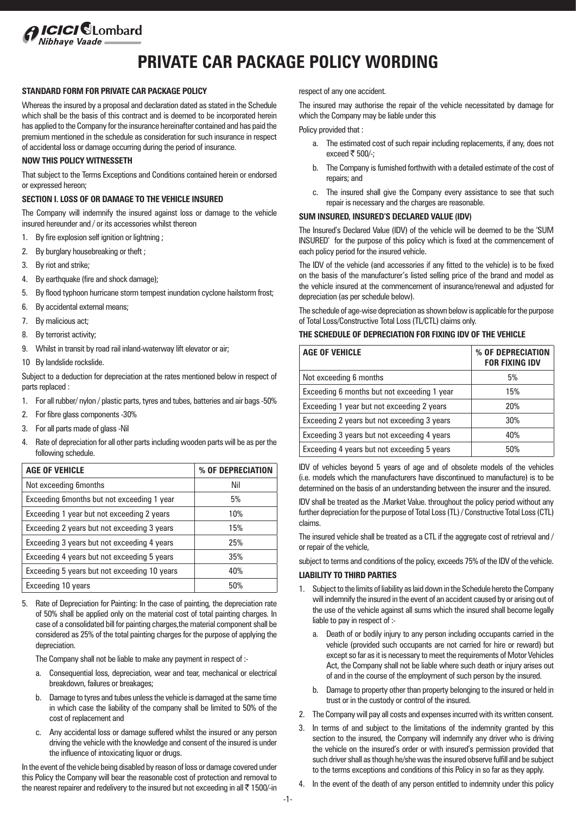# *ICICI* SLombard

# **PRIVATE CAR PACKAGE POLICY WORDING**

# **STANDARD FORM FOR PRIVATE CAR PACKAGE POLICY**

Whereas the insured by a proposal and declaration dated as stated in the Schedule which shall be the basis of this contract and is deemed to be incorporated herein has applied to the Company for the insurance hereinafter contained and has paid the premium mentioned in the schedule as consideration for such insurance in respect of accidental loss or damage occurring during the period of insurance.

# **NOW THIS POLICY WITNESSETH**

That subject to the Terms Exceptions and Conditions contained herein or endorsed or expressed hereon;

# **SECTION I. LOSS OF OR DAMAGE TO THE VEHICLE INSURED**

The Company will indemnify the insured against loss or damage to the vehicle insured hereunder and / or its accessories whilst thereon

- 1. By fire explosion self ignition or lightning ;
- 2. By burglary housebreaking or theft ;
- 3. By riot and strike;
- 4. By earthquake (fire and shock damage);
- 5. By flood typhoon hurricane storm tempest inundation cyclone hailstorm frost;
- 6. By accidental external means;
- 7. By malicious act;
- 8. By terrorist activity;
- 9. Whilst in transit by road rail inland-waterway lift elevator or air;
- 10 By landslide rockslide.

Subject to a deduction for depreciation at the rates mentioned below in respect of parts replaced :

- 1. For all rubber/ nylon / plastic parts, tyres and tubes, batteries and air bags -50%
- 2. For fibre glass components -30%
- 3. For all parts made of glass -Nil
- 4. Rate of depreciation for all other parts including wooden parts will be as per the following schedule.

| <b>AGE OF VEHICLE</b>                        | % OF DEPRECIATION |
|----------------------------------------------|-------------------|
| Not exceeding 6months                        | Nil               |
| Exceeding 6months but not exceeding 1 year   | 5%                |
| Exceeding 1 year but not exceeding 2 years   | 10%               |
| Exceeding 2 years but not exceeding 3 years  | 15%               |
| Exceeding 3 years but not exceeding 4 years  | 25%               |
| Exceeding 4 years but not exceeding 5 years  | 35%               |
| Exceeding 5 years but not exceeding 10 years | 40%               |
| Exceeding 10 years                           | 50%               |

5. Rate of Depreciation for Painting: In the case of painting, the depreciation rate of 50% shall be applied only on the material cost of total painting charges. In case of a consolidated bill for painting charges,the material component shall be considered as 25% of the total painting charges for the purpose of applying the depreciation.

The Company shall not be liable to make any payment in respect of :-

- a. Consequential loss, depreciation, wear and tear, mechanical or electrical breakdown, failures or breakages;
- b. Damage to tyres and tubes unless the vehicle is damaged at the same time in which case the liability of the company shall be limited to 50% of the cost of replacement and
- c. Any accidental loss or damage suffered whilst the insured or any person driving the vehicle with the knowledge and consent of the insured is under the influence of intoxicating liquor or drugs.

In the event of the vehicle being disabled by reason of loss or damage covered under this Policy the Company will bear the reasonable cost of protection and removal to the nearest repairer and redelivery to the insured but not exceeding in all  $\bar{\tau}$  1500/-in respect of any one accident.

The insured may authorise the repair of the vehicle necessitated by damage for which the Company may be liable under this

Policy provided that :

- a. The estimated cost of such repair including replacements, if any, does not exceed  $\bar{\tau}$  500/-;
- b. The Company is furnished forthwith with a detailed estimate of the cost of repairs; and
- c. The insured shall give the Company every assistance to see that such repair is necessary and the charges are reasonable.

# **SUM INSURED, INSURED'S DECLARED VALUE (IDV)**

The Insured's Declared Value (IDV) of the vehicle will be deemed to be the 'SUM INSURED' for the purpose of this policy which is fixed at the commencement of each policy period for the insured vehicle.

The IDV of the vehicle (and accessories if any fitted to the vehicle) is to be fixed on the basis of the manufacturer's listed selling price of the brand and model as the vehicle insured at the commencement of insurance/renewal and adjusted for depreciation (as per schedule below).

The schedule of age-wise depreciation as shown below is applicable for the purpose of Total Loss/Constructive Total Loss (TL/CTL) claims only.

#### **THE SCHEDULE OF DEPRECIATION FOR FIXING IDV OF THE VEHICLE**

| <b>AGE OF VEHICLE</b>                       | % OF DEPRECIATION<br><b>FOR FIXING IDV</b> |
|---------------------------------------------|--------------------------------------------|
| Not exceeding 6 months                      | 5%                                         |
| Exceeding 6 months but not exceeding 1 year | 15%                                        |
| Exceeding 1 year but not exceeding 2 years  | 20%                                        |
| Exceeding 2 years but not exceeding 3 years | 30%                                        |
| Exceeding 3 years but not exceeding 4 years | 40%                                        |
| Exceeding 4 years but not exceeding 5 years | 50%                                        |

IDV of vehicles beyond 5 years of age and of obsolete models of the vehicles (i.e. models which the manufacturers have discontinued to manufacture) is to be determined on the basis of an understanding between the insurer and the insured.

IDV shall be treated as the .Market Value. throughout the policy period without any further depreciation for the purpose of Total Loss (TL) / Constructive Total Loss (CTL) claims.

The insured vehicle shall be treated as a CTL if the aggregate cost of retrieval and / or repair of the vehicle,

subject to terms and conditions of the policy, exceeds 75% of the IDV of the vehicle.

#### **LIABILITY TO THIRD PARTIES**

- 1. Subject to the limits of liability as laid down in the Schedule hereto the Company will indemnify the insured in the event of an accident caused by or arising out of the use of the vehicle against all sums which the insured shall become legally liable to pay in respect of :
	- a. Death of or bodily injury to any person including occupants carried in the vehicle (provided such occupants are not carried for hire or reward) but except so far as it is necessary to meet the requirements of Motor Vehicles Act, the Company shall not be liable where such death or injury arises out of and in the course of the employment of such person by the insured.
	- b. Damage to property other than property belonging to the insured or held in trust or in the custody or control of the insured.
- 2. The Company will pay all costs and expenses incurred with its written consent.
- 3. In terms of and subject to the limitations of the indemnity granted by this section to the insured, the Company will indemnify any driver who is driving the vehicle on the insured's order or with insured's permission provided that such driver shall as though he/she was the insured observe fulfill and be subject to the terms exceptions and conditions of this Policy in so far as they apply.
- In the event of the death of any person entitled to indemnity under this policy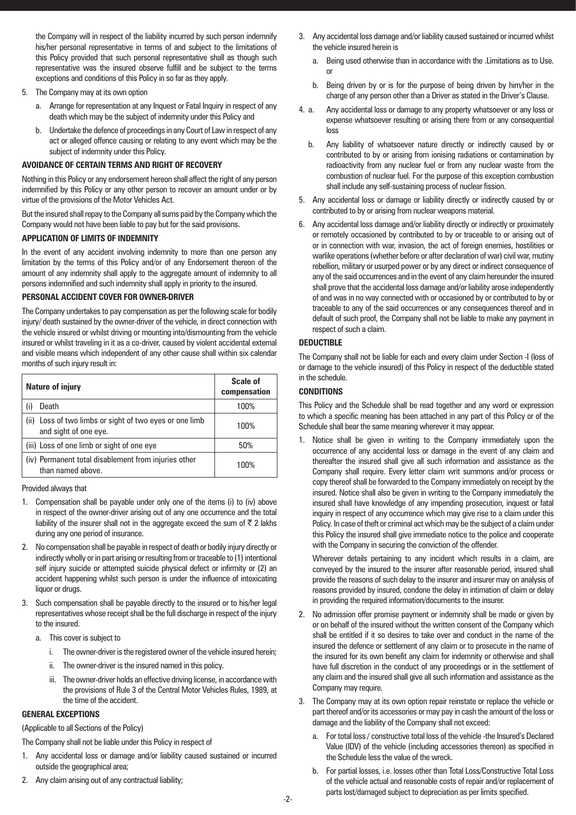the Company will in respect of the liability incurred by such person indemnify his/her personal representative in terms of and subject to the limitations of this Policy provided that such personal representative shall as though such representative was the insured observe fulfill and be subject to the terms exceptions and conditions of this Policy in so far as they apply.

- 5. The Company may at its own option
	- a. Arrange for representation at any Inquest or Fatal Inquiry in respect of any death which may be the subject of indemnity under this Policy and
	- b. Undertake the defence of proceedings in any Court of Law in respect of any act or alleged offence causing or relating to any event which may be the subject of indemnity under this Policy.

# **AVOIDANCE OF CERTAIN TERMS AND RIGHT OF RECOVERY**

Nothing in this Policy or any endorsement hereon shall affect the right of any person indemnified by this Policy or any other person to recover an amount under or by virtue of the provisions of the Motor Vehicles Act.

But the insured shall repay to the Company all sums paid by the Company which the Company would not have been liable to pay but for the said provisions.

# **APPLICATION OF LIMITS OF INDEMNITY**

In the event of any accident involving indemnity to more than one person any limitation by the terms of this Policy and/or of any Endorsement thereon of the amount of any indemnity shall apply to the aggregate amount of indemnity to all persons indemnified and such indemnity shall apply in priority to the insured.

# **PERSONAL ACCIDENT COVER FOR OWNER-DRIVER**

The Company undertakes to pay compensation as per the following scale for bodily injury/ death sustained by the owner-driver of the vehicle, in direct connection with the vehicle insured or whilst driving or mounting into/dismounting from the vehicle insured or whilst traveling in it as a co-driver, caused by violent accidental external and visible means which independent of any other cause shall within six calendar months of such injury result in:

| <b>Nature of injury</b>                                                          | <b>Scale of</b><br>compensation |
|----------------------------------------------------------------------------------|---------------------------------|
| Death                                                                            | 100%                            |
| (ii) Loss of two limbs or sight of two eyes or one limb<br>and sight of one eye. | 100%                            |
| (iii) Loss of one limb or sight of one eye                                       | 50%                             |
| (iv) Permanent total disablement from injuries other<br>than named above.        | 100%                            |

Provided always that

- 1. Compensation shall be payable under only one of the items (i) to (iv) above in respect of the owner-driver arising out of any one occurrence and the total liability of the insurer shall not in the aggregate exceed the sum of  $\bar{\tau}$  2 lakhs during any one period of insurance.
- 2. No compensation shall be payable in respect of death or bodily injury directly or indirectly wholly or in part arising or resulting from or traceable to (1) intentional self injury suicide or attempted suicide physical defect or infirmity or (2) an accident happening whilst such person is under the influence of intoxicating liquor or drugs.
- Such compensation shall be payable directly to the insured or to his/her legal representatives whose receipt shall be the full discharge in respect of the injury to the insured.
	- a. This cover is subject to
		- i. The owner-driver is the registered owner of the vehicle insured herein;
		- ii. The owner-driver is the insured named in this policy.
		- iii. The owner-driver holds an effective driving license, in accordance with the provisions of Rule 3 of the Central Motor Vehicles Rules, 1989, at the time of the accident.

# **GENERAL EXCEPTIONS**

(Applicable to all Sections of the Policy)

The Company shall not be liable under this Policy in respect of

- 1. Any accidental loss or damage and/or liability caused sustained or incurred outside the geographical area;
- 2. Any claim arising out of any contractual liability;
- 3. Any accidental loss damage and/or liability caused sustained or incurred whilst the vehicle insured herein is
	- a. Being used otherwise than in accordance with the .Limitations as to Use. or
	- b. Being driven by or is for the purpose of being driven by him/her in the charge of any person other than a Driver as stated in the Driver's Clause.
- 4. a. Any accidental loss or damage to any property whatsoever or any loss or expense whatsoever resulting or arising there from or any consequential loss
	- b. Any liability of whatsoever nature directly or indirectly caused by or contributed to by or arising from ionising radiations or contamination by radioactivity from any nuclear fuel or from any nuclear waste from the combustion of nuclear fuel. For the purpose of this exception combustion shall include any self-sustaining process of nuclear fission.
- 5. Any accidental loss or damage or liability directly or indirectly caused by or contributed to by or arising from nuclear weapons material.
- 6. Any accidental loss damage and/or liability directly or indirectly or proximately or remotely occasioned by contributed to by or traceable to or arising out of or in connection with war, invasion, the act of foreign enemies, hostilities or warlike operations (whether before or after declaration of war) civil war, mutiny rebellion, military or usurped power or by any direct or indirect consequence of any of the said occurrences and in the event of any claim hereunder the insured shall prove that the accidental loss damage and/or liability arose independently of and was in no way connected with or occasioned by or contributed to by or traceable to any of the said occurrences or any consequences thereof and in default of such proof, the Company shall not be liable to make any payment in respect of such a claim.

# **DEDUCTIBLE**

The Company shall not be liable for each and every claim under Section -I (loss of or damage to the vehicle insured) of this Policy in respect of the deductible stated in the schedule.

# **CONDITIONS**

This Policy and the Schedule shall be read together and any word or expression to which a specific meaning has been attached in any part of this Policy or of the Schedule shall bear the same meaning wherever it may appear.

1. Notice shall be given in writing to the Company immediately upon the occurrence of any accidental loss or damage in the event of any claim and thereafter the insured shall give all such information and assistance as the Company shall require. Every letter claim writ summons and/or process or copy thereof shall be forwarded to the Company immediately on receipt by the insured. Notice shall also be given in writing to the Company immediately the insured shall have knowledge of any impending prosecution, inquest or fatal inquiry in respect of any occurrence which may give rise to a claim under this Policy. In case of theft or criminal act which may be the subject of a claim under this Policy the insured shall give immediate notice to the police and cooperate with the Company in securing the conviction of the offender.

Wherever details pertaining to any incident which results in a claim, are conveyed by the insured to the insurer after reasonable period, insured shall provide the reasons of such delay to the insurer and insurer may on analysis of reasons provided by insured, condone the delay in intimation of claim or delay in providing the required information/documents to the insurer.

- 2. No admission offer promise payment or indemnity shall be made or given by or on behalf of the insured without the written consent of the Company which shall be entitled if it so desires to take over and conduct in the name of the insured the defence or settlement of any claim or to prosecute in the name of the insured for its own benefit any claim for indemnity or otherwise and shall have full discretion in the conduct of any proceedings or in the settlement of any claim and the insured shall give all such information and assistance as the Company may require.
- 3. The Company may at its own option repair reinstate or replace the vehicle or part thereof and/or its accessories or may pay in cash the amount of the loss or damage and the liability of the Company shall not exceed:
	- a. For total loss / constructive total loss of the vehicle -the Insured's Declared Value (IDV) of the vehicle (including accessories thereon) as specified in the Schedule less the value of the wreck.
	- b. For partial losses, i.e. losses other than Total Loss/Constructive Total Loss of the vehicle actual and reasonable costs of repair and/or replacement of parts lost/damaged subject to depreciation as per limits specified.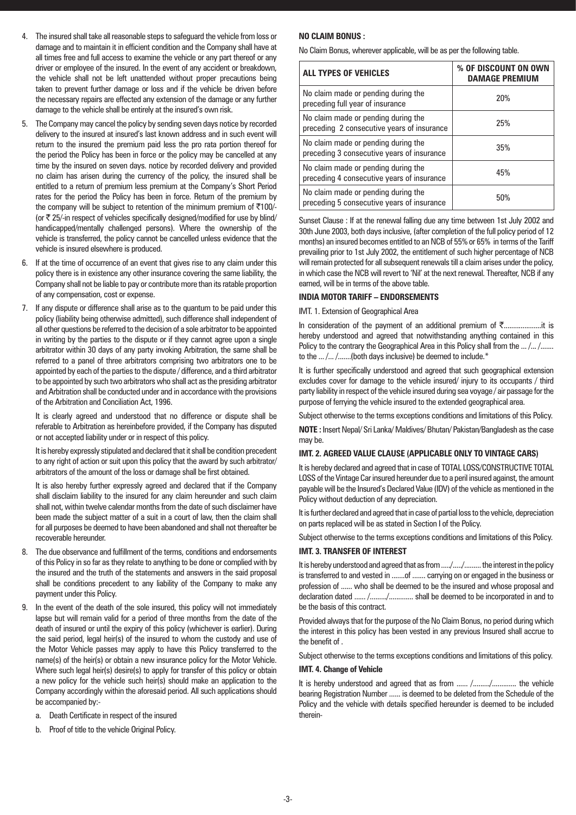- 4. The insured shall take all reasonable steps to safeguard the vehicle from loss or damage and to maintain it in efficient condition and the Company shall have at all times free and full access to examine the vehicle or any part thereof or any driver or employee of the insured. In the event of any accident or breakdown, the vehicle shall not be left unattended without proper precautions being taken to prevent further damage or loss and if the vehicle be driven before the necessary repairs are effected any extension of the damage or any further damage to the vehicle shall be entirely at the insured's own risk.
- 5. The Company may cancel the policy by sending seven days notice by recorded delivery to the insured at insured's last known address and in such event will return to the insured the premium paid less the pro rata portion thereof for the period the Policy has been in force or the policy may be cancelled at any time by the insured on seven days. notice by recorded delivery and provided no claim has arisen during the currency of the policy, the insured shall be entitled to a return of premium less premium at the Company's Short Period rates for the period the Policy has been in force. Return of the premium by the company will be subject to retention of the minimum premium of  $\overline{5100}$ /-(or  $\bar{\tau}$  25/-in respect of vehicles specifically designed/modified for use by blind/ handicapped/mentally challenged persons). Where the ownership of the vehicle is transferred, the policy cannot be cancelled unless evidence that the vehicle is insured elsewhere is produced.
- 6. If at the time of occurrence of an event that gives rise to any claim under this policy there is in existence any other insurance covering the same liability, the Company shall not be liable to pay or contribute more than its ratable proportion of any compensation, cost or expense.
- 7. If any dispute or difference shall arise as to the quantum to be paid under this policy (liability being otherwise admitted), such difference shall independent of all other questions be referred to the decision of a sole arbitrator to be appointed in writing by the parties to the dispute or if they cannot agree upon a single arbitrator within 30 days of any party invoking Arbitration, the same shall be referred to a panel of three arbitrators comprising two arbitrators one to be appointed by each of the parties to the dispute / difference, and a third arbitrator to be appointed by such two arbitrators who shall act as the presiding arbitrator and Arbitration shall be conducted under and in accordance with the provisions of the Arbitration and Conciliation Act, 1996.

It is clearly agreed and understood that no difference or dispute shall be referable to Arbitration as hereinbefore provided, if the Company has disputed or not accepted liability under or in respect of this policy.

It is hereby expressly stipulated and declared that it shall be condition precedent to any right of action or suit upon this policy that the award by such arbitrator/ arbitrators of the amount of the loss or damage shall be first obtained.

It is also hereby further expressly agreed and declared that if the Company shall disclaim liability to the insured for any claim hereunder and such claim shall not, within twelve calendar months from the date of such disclaimer have been made the subject matter of a suit in a court of law, then the claim shall for all purposes be deemed to have been abandoned and shall not thereafter be recoverable hereunder.

- 8. The due observance and fulfillment of the terms, conditions and endorsements of this Policy in so far as they relate to anything to be done or complied with by the insured and the truth of the statements and answers in the said proposal shall be conditions precedent to any liability of the Company to make any payment under this Policy.
- 9. In the event of the death of the sole insured, this policy will not immediately lapse but will remain valid for a period of three months from the date of the death of insured or until the expiry of this policy (whichever is earlier). During the said period, legal heir(s) of the insured to whom the custody and use of the Motor Vehicle passes may apply to have this Policy transferred to the name(s) of the heir(s) or obtain a new insurance policy for the Motor Vehicle. Where such legal heir(s) desire(s) to apply for transfer of this policy or obtain a new policy for the vehicle such heir(s) should make an application to the Company accordingly within the aforesaid period. All such applications should be accompanied by:
	- a. Death Certificate in respect of the insured
	- b. Proof of title to the vehicle Original Policy.

# **NO CLAIM BONUS :**

No Claim Bonus, wherever applicable, will be as per the following table.

| <b>ALL TYPES OF VEHICLES</b>                                                      | % OF DISCOUNT ON OWN<br><b>DAMAGE PREMIUM</b> |
|-----------------------------------------------------------------------------------|-----------------------------------------------|
| No claim made or pending during the<br>preceding full year of insurance           | 20%                                           |
| No claim made or pending during the<br>preceding 2 consecutive years of insurance | 25%                                           |
| No claim made or pending during the<br>preceding 3 consecutive years of insurance | 35%                                           |
| No claim made or pending during the<br>preceding 4 consecutive years of insurance | 45%                                           |
| No claim made or pending during the<br>preceding 5 consecutive years of insurance | 50%                                           |

Sunset Clause : If at the renewal falling due any time between 1st July 2002 and 30th June 2003, both days inclusive, (after completion of the full policy period of 12 months) an insured becomes entitled to an NCB of 55% or 65% in terms of the Tariff prevailing prior to 1st July 2002, the entitlement of such higher percentage of NCB will remain protected for all subsequent renewals till a claim arises under the policy, in which case the NCB will revert to 'Nil' at the next renewal. Thereafter, NCB if any earned, will be in terms of the above table.

#### **INDIA MOTOR TARIFF – ENDORSEMENTS**

IMT. 1. Extension of Geographical Area

In consideration of the payment of an additional premium of `....................it is hereby understood and agreed that notwithstanding anything contained in this Policy to the contrary the Geographical Area in this Policy shall from the ... /... /....... to the ... /... /.......(both days inclusive) be deemed to include.\*

It is further specifically understood and agreed that such geographical extension excludes cover for damage to the vehicle insured/ injury to its occupants / third party liability in respect of the vehicle insured during sea voyage / air passage for the purpose of ferrying the vehicle insured to the extended geographical area.

Subject otherwise to the terms exceptions conditions and limitations of this Policy.

**NOTE :** Insert Nepal/ Sri Lanka/ Maldives/ Bhutan/ Pakistan/Bangladesh as the case may be.

# **IMT. 2. AGREED VALUE CLAUSE (APPLICABLE ONLY TO VINTAGE CARS)**

It is hereby declared and agreed that in case of TOTAL LOSS/CONSTRUCTIVE TOTAL LOSS of the Vintage Car insured hereunder due to a peril insured against, the amount payable will be the Insured's Declared Value (IDV) of the vehicle as mentioned in the Policy without deduction of any depreciation.

It is further declared and agreed that in case of partial loss to the vehicle, depreciation on parts replaced will be as stated in Section I of the Policy.

Subject otherwise to the terms exceptions conditions and limitations of this Policy.

#### **IMT. 3. TRANSFER OF INTEREST**

It is hereby understood and agreed that as from ...../....../......... the interest in the policy is transferred to and vested in .......of ....... carrying on or engaged in the business or profession of ...... who shall be deemed to be the insured and whose proposal and declaration dated ...... /........./............. shall be deemed to be incorporated in and to be the basis of this contract.

Provided always that for the purpose of the No Claim Bonus, no period during which the interest in this policy has been vested in any previous Insured shall accrue to the benefit of .

Subject otherwise to the terms exceptions conditions and limitations of this policy.

#### **IMT. 4. Change of Vehicle**

It is hereby understood and agreed that as from ...... /........./.............. the vehicle bearing Registration Number ...... is deemed to be deleted from the Schedule of the Policy and the vehicle with details specified hereunder is deemed to be included therein-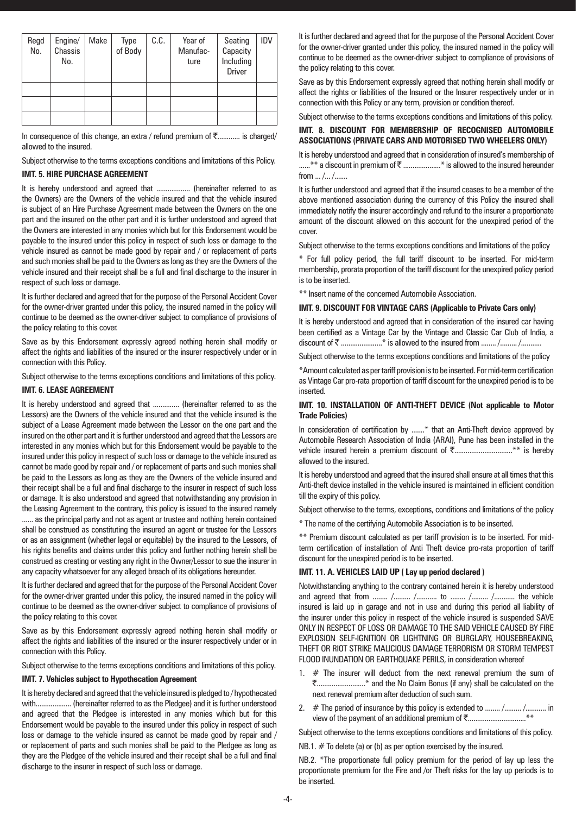| Regd<br>No. | Engine/<br>Chassis<br>No. | Make | Type<br>of Body | C.C. | Year of<br>Manufac-<br>ture | Seating<br>Capacity<br>Including<br><b>Driver</b> | IDV |
|-------------|---------------------------|------|-----------------|------|-----------------------------|---------------------------------------------------|-----|
|             |                           |      |                 |      |                             |                                                   |     |
|             |                           |      |                 |      |                             |                                                   |     |
|             |                           |      |                 |      |                             |                                                   |     |

In consequence of this change, an extra / refund premium of  $\bar{\tau}$ ............ is charged/ allowed to the insured.

Subject otherwise to the terms exceptions conditions and limitations of this Policy.

# **IMT. 5. HIRE PURCHASE AGREEMENT**

It is hereby understood and agreed that ................... (hereinafter referred to as the Owners) are the Owners of the vehicle insured and that the vehicle insured is subject of an Hire Purchase Agreement made between the Owners on the one part and the insured on the other part and it is further understood and agreed that the Owners are interested in any monies which but for this Endorsement would be payable to the insured under this policy in respect of such loss or damage to the vehicle insured as cannot be made good by repair and / or replacement of parts and such monies shall be paid to the Owners as long as they are the Owners of the vehicle insured and their receipt shall be a full and final discharge to the insurer in respect of such loss or damage.

It is further declared and agreed that for the purpose of the Personal Accident Cover for the owner-driver granted under this policy, the insured named in the policy will continue to be deemed as the owner-driver subject to compliance of provisions of the policy relating to this cover.

Save as by this Endorsement expressly agreed nothing herein shall modify or affect the rights and liabilities of the insured or the insurer respectively under or in connection with this Policy.

Subject otherwise to the terms exceptions conditions and limitations of this policy.

# **IMT. 6. LEASE AGREEMENT**

It is hereby understood and agreed that ............... (hereinafter referred to as the Lessors) are the Owners of the vehicle insured and that the vehicle insured is the subject of a Lease Agreement made between the Lessor on the one part and the insured on the other part and it is further understood and agreed that the Lessors are interested in any monies which but for this Endorsement would be payable to the insured under this policy in respect of such loss or damage to the vehicle insured as cannot be made good by repair and / or replacement of parts and such monies shall be paid to the Lessors as long as they are the Owners of the vehicle insured and their receipt shall be a full and final discharge to the insurer in respect of such loss or damage. It is also understood and agreed that notwithstanding any provision in the Leasing Agreement to the contrary, this policy is issued to the insured namely ...... as the principal party and not as agent or trustee and nothing herein contained shall be construed as constituting the insured an agent or trustee for the Lessors or as an assignment (whether legal or equitable) by the insured to the Lessors, of his rights benefits and claims under this policy and further nothing herein shall be construed as creating or vesting any right in the Owner/Lessor to sue the insurer in any capacity whatsoever for any alleged breach of its obligations hereunder.

It is further declared and agreed that for the purpose of the Personal Accident Cover for the owner-driver granted under this policy, the insured named in the policy will continue to be deemed as the owner-driver subject to compliance of provisions of the policy relating to this cover.

Save as by this Endorsement expressly agreed nothing herein shall modify or affect the rights and liabilities of the insured or the insurer respectively under or in connection with this Policy.

Subject otherwise to the terms exceptions conditions and limitations of this policy.

#### **IMT. 7. Vehicles subject to Hypothecation Agreement**

It is hereby declared and agreed that the vehicle insured is pledged to / hypothecated with................... (hereinafter referred to as the Pledgee) and it is further understood and agreed that the Pledgee is interested in any monies which but for this Endorsement would be payable to the insured under this policy in respect of such loss or damage to the vehicle insured as cannot be made good by repair and / or replacement of parts and such monies shall be paid to the Pledgee as long as they are the Pledgee of the vehicle insured and their receipt shall be a full and final discharge to the insurer in respect of such loss or damage.

It is further declared and agreed that for the purpose of the Personal Accident Cover for the owner-driver granted under this policy, the insured named in the policy will continue to be deemed as the owner-driver subject to compliance of provisions of the policy relating to this cover.

Save as by this Endorsement expressly agreed that nothing herein shall modify or affect the rights or liabilities of the Insured or the Insurer respectively under or in connection with this Policy or any term, provision or condition thereof.

# Subject otherwise to the terms exceptions conditions and limitations of this policy. **IMT. 8. DISCOUNT FOR MEMBERSHIP OF RECOGNISED AUTOMOBILE ASSOCIATIONS (PRIVATE CARS AND MOTORISED TWO WHEELERS ONLY)**

It is hereby understood and agreed that in consideration of insured's membership of ......\*\* a discount in premium of ₹ .......................\* is allowed to the insured hereunder from ... /... /.......

It is further understood and agreed that if the insured ceases to be a member of the above mentioned association during the currency of this Policy the insured shall immediately notify the insurer accordingly and refund to the insurer a proportionate amount of the discount allowed on this account for the unexpired period of the cover.

Subject otherwise to the terms exceptions conditions and limitations of the policy

\* For full policy period, the full tariff discount to be inserted. For mid-term membership, prorata proportion of the tariff discount for the unexpired policy period is to be inserted.

\*\* Insert name of the concerned Automobile Association.

# **IMT. 9. DISCOUNT FOR VINTAGE CARS (Applicable to Private Cars only)**

It is hereby understood and agreed that in consideration of the insured car having been certified as a Vintage Car by the Vintage and Classic Car Club of India, a  ${\sf discount\ of\ }$ .......................\* is allowed to the insured from ........ /......... /..........

Subject otherwise to the terms exceptions conditions and limitations of the policy

\*Amount calculated as per tariff provision is to be inserted. For mid-term certification as Vintage Car pro-rata proportion of tariff discount for the unexpired period is to be inserted.

# **IMT. 10. INSTALLATION OF ANTI-THEFT DEVICE (Not applicable to Motor Trade Policies)**

In consideration of certification by .......\* that an Anti-Theft device approved by Automobile Research Association of India (ARAI), Pune has been installed in the vehicle insured herein a premium discount of `...............................\*\* is hereby allowed to the insured.

It is hereby understood and agreed that the insured shall ensure at all times that this Anti-theft device installed in the vehicle insured is maintained in efficient condition till the expiry of this policy.

Subject otherwise to the terms, exceptions, conditions and limitations of the policy

\* The name of the certifying Automobile Association is to be inserted.

\*\* Premium discount calculated as per tariff provision is to be inserted. For midterm certification of installation of Anti Theft device pro-rata proportion of tariff discount for the unexpired period is to be inserted.

#### **IMT. 11. A. VEHICLES LAID UP ( Lay up period declared )**

Notwithstanding anything to the contrary contained herein it is hereby understood and agreed that from ........ /......... /........... to ........ /......... /........... the vehicle insured is laid up in garage and not in use and during this period all liability of the insurer under this policy in respect of the vehicle insured is suspended SAVE ONLY IN RESPECT OF LOSS OR DAMAGE TO THE SAID VEHICLE CAUSED BY FIRE EXPLOSION SELF-IGNITION OR LIGHTNING OR BURGLARY, HOUSEBREAKING, THEFT OR RIOT STRIKE MALICIOUS DAMAGE TERRORISM OR STORM TEMPEST FLOOD INUNDATION OR EARTHQUAKE PERILS, in consideration whereof

- 1.  $#$  The insurer will deduct from the next renewal premium the sum of `..........................\* and the No Claim Bonus (if any) shall be calculated on the next renewal premium after deduction of such sum.
- 2. # The period of insurance by this policy is extended to ........ /......... /........... in view of the payment of an additional premium of `...............................\*\*

Subject otherwise to the terms exceptions conditions and limitations of this policy.

NB.1.  $#$  To delete (a) or (b) as per option exercised by the insured.

NB.2. \*The proportionate full policy premium for the period of lay up less the proportionate premium for the Fire and /or Theft risks for the lay up periods is to be inserted.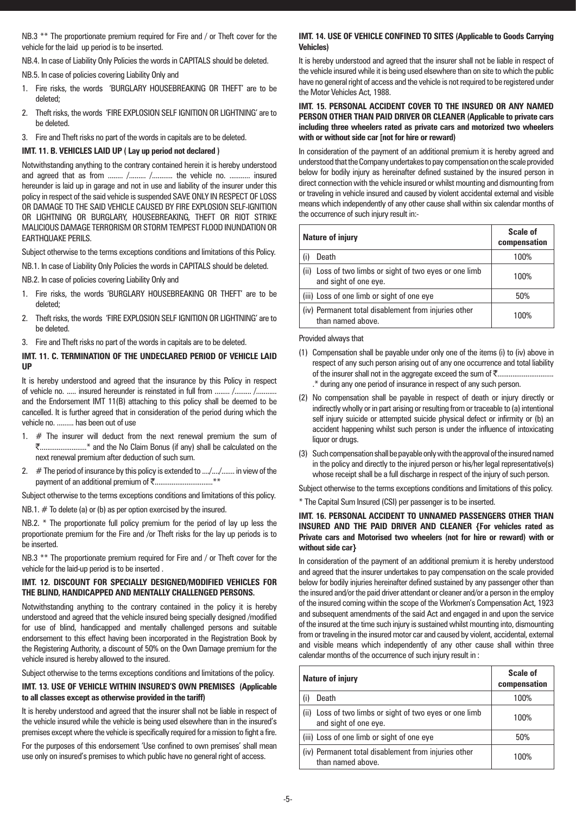NB.3<sup>\*\*</sup> The proportionate premium required for Fire and / or Theft cover for the vehicle for the laid up period is to be inserted.

NB.4. In case of Liability Only Policies the words in CAPITALS should be deleted.

NB.5. In case of policies covering Liability Only and

- 1. Fire risks, the words 'BURGLARY HOUSEBREAKING OR THEFT' are to be deleted;
- 2. Theft risks, the words 'FIRE EXPLOSION SELF IGNITION OR LIGHTNING' are to be deleted.
- 3. Fire and Theft risks no part of the words in capitals are to be deleted.

#### **IMT. 11. B. VEHICLES LAID UP ( Lay up period not declared )**

Notwithstanding anything to the contrary contained herein it is hereby understood and agreed that as from ........ /......... /.......... the vehicle no. ........... insured hereunder is laid up in garage and not in use and liability of the insurer under this policy in respect of the said vehicle is suspended SAVE ONLY IN RESPECT OF LOSS OR DAMAGE TO THE SAID VEHICLE CAUSED BY FIRE EXPLOSION SELF-IGNITION OR LIGHTNING OR BURGLARY, HOUSEBREAKING, THEFT OR RIOT STRIKE MALICIOUS DAMAGE TERRORISM OR STORM TEMPEST FLOOD INUNDATION OR EARTHQUAKE PERILS.

Subject otherwise to the terms exceptions conditions and limitations of this Policy.

NB.1. In case of Liability Only Policies the words in CAPITALS should be deleted.

NB.2. In case of policies covering Liability Only and

- 1. Fire risks, the words 'BURGLARY HOUSEBREAKING OR THEFT' are to be deleted;
- 2. Theft risks, the words 'FIRE EXPLOSION SELF IGNITION OR LIGHTNING' are to be deleted.
- 3. Fire and Theft risks no part of the words in capitals are to be deleted.

# **IMT. 11. C. TERMINATION OF THE UNDECLARED PERIOD OF VEHICLE LAID UP**

It is hereby understood and agreed that the insurance by this Policy in respect of vehicle no. ..... insured hereunder is reinstated in full from ........ /......... /.......... and the Endorsement IMT 11(B) attaching to this policy shall be deemed to be cancelled. It is further agreed that in consideration of the period during which the vehicle no. ......... has been out of use

- 1.  $#$  The insurer will deduct from the next renewal premium the sum of `.........................\* and the No Claim Bonus (if any) shall be calculated on the next renewal premium after deduction of such sum.
- 2. # The period of insurance by this policy is extended to .../.../....... in view of the payment of an additional premium of  $\bar{\mathfrak{F}}$ ...................................\*\*

Subject otherwise to the terms exceptions conditions and limitations of this policy.

NB.1. # To delete (a) or (b) as per option exercised by the insured.

NB.2. \* The proportionate full policy premium for the period of lay up less the proportionate premium for the Fire and /or Theft risks for the lay up periods is to be inserted.

NB.3 \*\* The proportionate premium required for Fire and / or Theft cover for the vehicle for the laid-up period is to be inserted .

#### **IMT. 12. DISCOUNT FOR SPECIALLY DESIGNED/MODIFIED VEHICLES FOR THE BLIND, HANDICAPPED AND MENTALLY CHALLENGED PERSONS.**

Notwithstanding anything to the contrary contained in the policy it is hereby understood and agreed that the vehicle insured being specially designed /modified for use of blind, handicapped and mentally challenged persons and suitable endorsement to this effect having been incorporated in the Registration Book by the Registering Authority, a discount of 50% on the Own Damage premium for the vehicle insured is hereby allowed to the insured.

Subject otherwise to the terms exceptions conditions and limitations of the policy.

# **IMT. 13. USE OF VEHICLE WITHIN INSURED'S OWN PREMISES (Applicable to all classes except as otherwise provided in the tariff)**

It is hereby understood and agreed that the insurer shall not be liable in respect of the vehicle insured while the vehicle is being used elsewhere than in the insured's premises except where the vehicle is specifically required for a mission to fight a fire.

For the purposes of this endorsement 'Use confined to own premises' shall mean use only on insured's premises to which public have no general right of access.

# **IMT. 14. USE OF VEHICLE CONFINED TO SITES (Applicable to Goods Carrying Vehicles)**

It is hereby understood and agreed that the insurer shall not be liable in respect of the vehicle insured while it is being used elsewhere than on site to which the public have no general right of access and the vehicle is not required to be registered under the Motor Vehicles Act, 1988.

# **IMT. 15. PERSONAL ACCIDENT COVER TO THE INSURED OR ANY NAMED PERSON OTHER THAN PAID DRIVER OR CLEANER (Applicable to private cars including three wheelers rated as private cars and motorized two wheelers with or without side car [not for hire or reward)**

In consideration of the payment of an additional premium it is hereby agreed and understood that the Company undertakes to pay compensation on the scale provided below for bodily injury as hereinafter defined sustained by the insured person in direct connection with the vehicle insured or whilst mounting and dismounting from or traveling in vehicle insured and caused by violent accidental external and visible means which independently of any other cause shall within six calendar months of the occurrence of such injury result in:-

| <b>Nature of injury</b>                                                          | Scale of<br>compensation |
|----------------------------------------------------------------------------------|--------------------------|
| Death                                                                            | 100%                     |
| (ii) Loss of two limbs or sight of two eyes or one limb<br>and sight of one eye. | 100%                     |
| (iii) Loss of one limb or sight of one eye                                       | 50%                      |
| (iv) Permanent total disablement from injuries other<br>than named above.        | 1በበ%                     |

#### Provided always that

- (1) Compensation shall be payable under only one of the items (i) to (iv) above in respect of any such person arising out of any one occurrence and total liability of the insurer shall not in the aggregate exceed the sum of `.............................. .\* during any one period of insurance in respect of any such person.
- (2) No compensation shall be payable in respect of death or injury directly or indirectly wholly or in part arising or resulting from or traceable to (a) intentional self injury suicide or attempted suicide physical defect or infirmity or (b) an accident happening whilst such person is under the influence of intoxicating liquor or drugs.
- (3) Such compensation shall be payable only with the approval of the insured named in the policy and directly to the injured person or his/her legal representative(s) whose receipt shall be a full discharge in respect of the injury of such person.

Subject otherwise to the terms exceptions conditions and limitations of this policy.

\* The Capital Sum Insured (CSI) per passenger is to be inserted.

# **IMT. 16. PERSONAL ACCIDENT TO UNNAMED PASSENGERS OTHER THAN INSURED AND THE PAID DRIVER AND CLEANER {For vehicles rated as Private cars and Motorised two wheelers (not for hire or reward) with or without side car}**

In consideration of the payment of an additional premium it is hereby understood and agreed that the insurer undertakes to pay compensation on the scale provided below for bodily injuries hereinafter defined sustained by any passenger other than the insured and/or the paid driver attendant or cleaner and/or a person in the employ of the insured coming within the scope of the Workmen's Compensation Act, 1923 and subsequent amendments of the said Act and engaged in and upon the service of the insured at the time such injury is sustained whilst mounting into, dismounting from or traveling in the insured motor car and caused by violent, accidental, external and visible means which independently of any other cause shall within three calendar months of the occurrence of such injury result in :

| <b>Nature of injury</b>                                                          | <b>Scale of</b><br>compensation |
|----------------------------------------------------------------------------------|---------------------------------|
| Death                                                                            | 100%                            |
| (ii) Loss of two limbs or sight of two eyes or one limb<br>and sight of one eye. | 100%                            |
| (iii) Loss of one limb or sight of one eye                                       | 50%                             |
| (iv) Permanent total disablement from injuries other<br>than named above.        | 100%                            |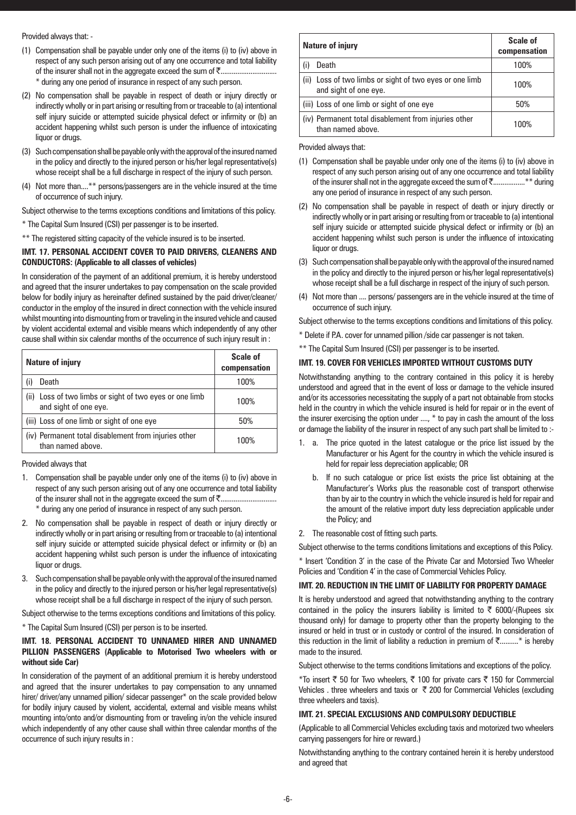# Provided always that: -

- (1) Compensation shall be payable under only one of the items (i) to (iv) above in respect of any such person arising out of any one occurrence and total liability of the insurer shall not in the aggregate exceed the sum of `.............................. \* during any one period of insurance in respect of any such person.
- (2) No compensation shall be payable in respect of death or injury directly or indirectly wholly or in part arising or resulting from or traceable to (a) intentional self injury suicide or attempted suicide physical defect or infirmity or (b) an accident happening whilst such person is under the influence of intoxicating liquor or drugs.
- (3) Such compensation shall be payable only with the approval of the insured named in the policy and directly to the injured person or his/her legal representative(s) whose receipt shall be a full discharge in respect of the injury of such person.
- (4) Not more than....\*\* persons/passengers are in the vehicle insured at the time of occurrence of such injury.

Subject otherwise to the terms exceptions conditions and limitations of this policy.

\* The Capital Sum Insured (CSI) per passenger is to be inserted.

\*\* The registered sitting capacity of the vehicle insured is to be inserted.

# **IMT. 17. PERSONAL ACCIDENT COVER TO PAID DRIVERS, CLEANERS AND CONDUCTORS: (Applicable to all classes of vehicles)**

In consideration of the payment of an additional premium, it is hereby understood and agreed that the insurer undertakes to pay compensation on the scale provided below for bodily injury as hereinafter defined sustained by the paid driver/cleaner/ conductor in the employ of the insured in direct connection with the vehicle insured whilst mounting into dismounting from or traveling in the insured vehicle and caused by violent accidental external and visible means which independently of any other cause shall within six calendar months of the occurrence of such injury result in :

| <b>Nature of injury</b>                                                          | <b>Scale of</b><br>compensation |
|----------------------------------------------------------------------------------|---------------------------------|
| Death<br>(i)                                                                     | 100%                            |
| (ii) Loss of two limbs or sight of two eyes or one limb<br>and sight of one eye. | 100%                            |
| (iii) Loss of one limb or sight of one eye                                       | 50%                             |
| (iv) Permanent total disablement from injuries other<br>than named above.        | 100%                            |

Provided always that

- 1. Compensation shall be payable under only one of the items (i) to (iv) above in respect of any such person arising out of any one occurrence and total liability of the insurer shall not in the aggregate exceed the sum of `.............................. \* during any one period of insurance in respect of any such person.
- 2. No compensation shall be payable in respect of death or injury directly or indirectly wholly or in part arising or resulting from or traceable to (a) intentional self injury suicide or attempted suicide physical defect or infirmity or (b) an accident happening whilst such person is under the influence of intoxicating liquor or drugs.
- 3. Such compensation shall be payable only with the approval of the insured named in the policy and directly to the injured person or his/her legal representative(s) whose receipt shall be a full discharge in respect of the injury of such person.

Subject otherwise to the terms exceptions conditions and limitations of this policy.

\* The Capital Sum Insured (CSI) per person is to be inserted.

# **IMT. 18. PERSONAL ACCIDENT TO UNNAMED HIRER AND UNNAMED PILLION PASSENGERS (Applicable to Motorised Two wheelers with or without side Car)**

In consideration of the payment of an additional premium it is hereby understood and agreed that the insurer undertakes to pay compensation to any unnamed hirer/ driver/any unnamed pillion/ sidecar passenger\* on the scale provided below for bodily injury caused by violent, accidental, external and visible means whilst mounting into/onto and/or dismounting from or traveling in/on the vehicle insured which independently of any other cause shall within three calendar months of the occurrence of such injury results in :

| <b>Nature of injury</b>                                                          | Scale of<br>compensation |
|----------------------------------------------------------------------------------|--------------------------|
| Death                                                                            | 100%                     |
| (ii) Loss of two limbs or sight of two eyes or one limb<br>and sight of one eye. | 100%                     |
| (iii) Loss of one limb or sight of one eye                                       | 50%                      |
| (iv) Permanent total disablement from injuries other<br>than named above.        | 100%                     |

Provided always that:

- (1) Compensation shall be payable under only one of the items (i) to (iv) above in respect of any such person arising out of any one occurrence and total liability of the insurer shall not in the aggregate exceed the sum of  $\bar{\zeta}$ ..................\*\* during any one period of insurance in respect of any such person.
- (2) No compensation shall be payable in respect of death or injury directly or indirectly wholly or in part arising or resulting from or traceable to (a) intentional self injury suicide or attempted suicide physical defect or infirmity or (b) an accident happening whilst such person is under the influence of intoxicating liquor or drugs.
- (3) Such compensation shall be payable only with the approval of the insured named in the policy and directly to the injured person or his/her legal representative(s) whose receipt shall be a full discharge in respect of the injury of such person.
- (4) Not more than .... persons/ passengers are in the vehicle insured at the time of occurrence of such injury.

Subject otherwise to the terms exceptions conditions and limitations of this policy.

- \* Delete if P.A. cover for unnamed pillion /side car passenger is not taken.
- \*\* The Capital Sum Insured (CSI) per passenger is to be inserted.

# **IMT. 19. COVER FOR VEHICLES IMPORTED WITHOUT CUSTOMS DUTY**

Notwithstanding anything to the contrary contained in this policy it is hereby understood and agreed that in the event of loss or damage to the vehicle insured and/or its accessories necessitating the supply of a part not obtainable from stocks held in the country in which the vehicle insured is held for repair or in the event of the insurer exercising the option under ...., \* to pay in cash the amount of the loss or damage the liability of the insurer in respect of any such part shall be limited to :-

- 1. a. The price quoted in the latest catalogue or the price list issued by the Manufacturer or his Agent for the country in which the vehicle insured is held for repair less depreciation applicable; OR
	- b. If no such catalogue or price list exists the price list obtaining at the Manufacturer's Works plus the reasonable cost of transport otherwise than by air to the country in which the vehicle insured is held for repair and the amount of the relative import duty less depreciation applicable under the Policy; and
- 2. The reasonable cost of fitting such parts.

Subject otherwise to the terms conditions limitations and exceptions of this Policy.

\* Insert 'Condition 3' in the case of the Private Car and Motorsied Two Wheeler Policies and 'Condition 4' in the case of Commercial Vehicles Policy.

# **IMT. 20. REDUCTION IN THE LIMIT OF LIABILITY FOR PROPERTY DAMAGE**

It is hereby understood and agreed that notwithstanding anything to the contrary contained in the policy the insurers liability is limited to  $\bar{\tau}$  6000/-(Rupees six thousand only) for damage to property other than the property belonging to the insured or held in trust or in custody or control of the insured. In consideration of this reduction in the limit of liability a reduction in premium of  $\bar{\zeta}$ ..........\* is hereby made to the insured.

Subject otherwise to the terms conditions limitations and exceptions of the policy.

\*To insert  $\bar{\tau}$  50 for Two wheelers,  $\bar{\tau}$  100 for private cars  $\bar{\tau}$  150 for Commercial Vehicles . three wheelers and taxis or  $\bar{\tau}$  200 for Commercial Vehicles (excluding three wheelers and taxis).

# **IMT. 21. SPECIAL EXCLUSIONS AND COMPULSORY DEDUCTIBLE**

(Applicable to all Commercial Vehicles excluding taxis and motorized two wheelers carrying passengers for hire or reward.)

Notwithstanding anything to the contrary contained herein it is hereby understood and agreed that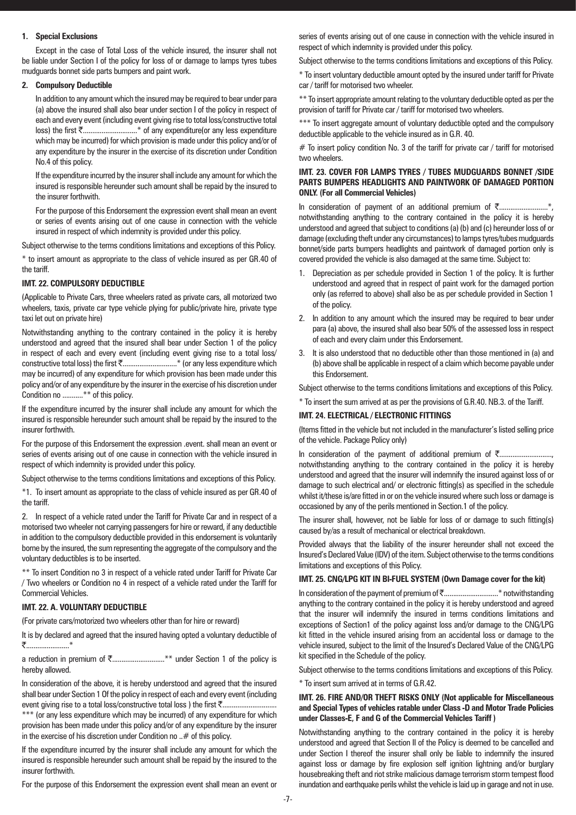# **1. Special Exclusions**

Except in the case of Total Loss of the vehicle insured, the insurer shall not be liable under Section I of the policy for loss of or damage to lamps tyres tubes mudguards bonnet side parts bumpers and paint work.

# **2. Compulsory Deductible**

In addition to any amount which the insured may be required to bear under para (a) above the insured shall also bear under section I of the policy in respect of each and every event (including event giving rise to total loss/constructive total loss) the first ₹...............................\* of any expenditure(or any less expenditure which may be incurred) for which provision is made under this policy and/or of any expenditure by the insurer in the exercise of its discretion under Condition No.4 of this policy.

If the expenditure incurred by the insurer shall include any amount for which the insured is responsible hereunder such amount shall be repaid by the insured to the insurer forthwith.

For the purpose of this Endorsement the expression event shall mean an event or series of events arising out of one cause in connection with the vehicle insured in respect of which indemnity is provided under this policy.

Subject otherwise to the terms conditions limitations and exceptions of this Policy.

\* to insert amount as appropriate to the class of vehicle insured as per GR.40 of the tariff.

#### **IMT. 22. COMPULSORY DEDUCTIBLE**

(Applicable to Private Cars, three wheelers rated as private cars, all motorized two wheelers, taxis, private car type vehicle plying for public/private hire, private type taxi let out on private hire)

Notwithstanding anything to the contrary contained in the policy it is hereby understood and agreed that the insured shall bear under Section 1 of the policy in respect of each and every event (including event giving rise to a total loss/ constructive total loss) the first  $\bar{\tau}$ ..................................\* (or any less expenditure which may be incurred) of any expenditure for which provision has been made under this policy and/or of any expenditure by the insurer in the exercise of his discretion under Condition no ...........\*\* of this policy.

If the expenditure incurred by the insurer shall include any amount for which the insured is responsible hereunder such amount shall be repaid by the insured to the insurer forthwith.

For the purpose of this Endorsement the expression .event. shall mean an event or series of events arising out of one cause in connection with the vehicle insured in respect of which indemnity is provided under this policy.

Subject otherwise to the terms conditions limitations and exceptions of this Policy.

\*1. To insert amount as appropriate to the class of vehicle insured as per GR.40 of the tariff.

2. In respect of a vehicle rated under the Tariff for Private Car and in respect of a motorised two wheeler not carrying passengers for hire or reward, if any deductible in addition to the compulsory deductible provided in this endorsement is voluntarily borne by the insured, the sum representing the aggregate of the compulsory and the voluntary deductibles is to be inserted.

\*\* To insert Condition no 3 in respect of a vehicle rated under Tariff for Private Car / Two wheelers or Condition no 4 in respect of a vehicle rated under the Tariff for Commercial Vehicles.

# **IMT. 22. A. VOLUNTARY DEDUCTIBLE**

(For private cars/motorized two wheelers other than for hire or reward)

It is by declared and agreed that the insured having opted a voluntary deductible of ₹.........................<sup>\*</sup>

a reduction in premium of ₹.............................\*\* under Section 1 of the policy is hereby allowed.

In consideration of the above, it is hereby understood and agreed that the insured shall bear under Section 1 Of the policy in respect of each and every event (including event giving rise to a total loss/constructive total loss ) the first `.............................

\*\*\* (or any less expenditure which may be incurred) of any expenditure for which provision has been made under this policy and/or of any expenditure by the insurer in the exercise of his discretion under Condition no ..# of this policy.

If the expenditure incurred by the insurer shall include any amount for which the insured is responsible hereunder such amount shall be repaid by the insured to the insurer forthwith.

For the purpose of this Endorsement the expression event shall mean an event or

series of events arising out of one cause in connection with the vehicle insured in respect of which indemnity is provided under this policy.

Subject otherwise to the terms conditions limitations and exceptions of this Policy.

\* To insert voluntary deductible amount opted by the insured under tariff for Private car / tariff for motorised two wheeler.

\*\* To insert appropriate amount relating to the voluntary deductible opted as per the provision of tariff for Private car / tariff for motorised two wheelers.

\*\*\* To insert aggregate amount of voluntary deductible opted and the compulsory deductible applicable to the vehicle insured as in G.R. 40.

 $#$  To insert policy condition No. 3 of the tariff for private car / tariff for motorised two wheelers.

# **IMT. 23. COVER FOR LAMPS TYRES / TUBES MUDGUARDS BONNET /SIDE PARTS BUMPERS HEADLIGHTS AND PAINTWORK OF DAMAGED PORTION ONLY. (For all Commercial Vehicles)**

In consideration of payment of an additional premium of `..........................\*, notwithstanding anything to the contrary contained in the policy it is hereby understood and agreed that subject to conditions (a) (b) and (c) hereunder loss of or damage (excluding theft under any circumstances) to lamps tyres/tubes mudguards bonnet/side parts bumpers headlights and paintwork of damaged portion only is covered provided the vehicle is also damaged at the same time. Subject to:

- 1. Depreciation as per schedule provided in Section 1 of the policy. It is further understood and agreed that in respect of paint work for the damaged portion only (as referred to above) shall also be as per schedule provided in Section 1 of the policy.
- 2. In addition to any amount which the insured may be required to bear under para (a) above, the insured shall also bear 50% of the assessed loss in respect of each and every claim under this Endorsement.
- It is also understood that no deductible other than those mentioned in (a) and (b) above shall be applicable in respect of a claim which become payable under this Endorsement.

Subject otherwise to the terms conditions limitations and exceptions of this Policy.

\* To insert the sum arrived at as per the provisions of G.R.40. NB.3. of the Tariff.

# **IMT. 24. ELECTRICAL / ELECTRONIC FITTINGS**

(Items fitted in the vehicle but not included in the manufacturer's listed selling price of the vehicle. Package Policy only)

In consideration of the payment of additional premium of  $\bar{\tau}$ ...................... notwithstanding anything to the contrary contained in the policy it is hereby understood and agreed that the insurer will indemnify the insured against loss of or damage to such electrical and/ or electronic fitting(s) as specified in the schedule whilst it/these is/are fitted in or on the vehicle insured where such loss or damage is occasioned by any of the perils mentioned in Section.1 of the policy.

The insurer shall, however, not be liable for loss of or damage to such fitting(s) caused by/as a result of mechanical or electrical breakdown.

Provided always that the liability of the insurer hereunder shall not exceed the Insured's Declared Value (IDV) of the item. Subject otherwise to the terms conditions limitations and exceptions of this Policy.

# **IMT. 25. CNG/LPG KIT IN BI-FUEL SYSTEM (Own Damage cover for the kit)**

In consideration of the payment of premium of ₹................................\* notwithstanding anything to the contrary contained in the policy it is hereby understood and agreed that the insurer will indemnify the insured in terms conditions limitations and exceptions of Section1 of the policy against loss and/or damage to the CNG/LPG kit fitted in the vehicle insured arising from an accidental loss or damage to the vehicle insured, subject to the limit of the Insured's Declared Value of the CNG/LPG kit specified in the Schedule of the policy.

Subject otherwise to the terms conditions limitations and exceptions of this Policy.

\* To insert sum arrived at in terms of G.R.42.

# **IMT. 26. FIRE AND/OR THEFT RISKS ONLY (Not applicable for Miscellaneous and Special Types of vehicles ratable under Class -D and Motor Trade Policies under Classes-E, F and G of the Commercial Vehicles Tariff )**

Notwithstanding anything to the contrary contained in the policy it is hereby understood and agreed that Section II of the Policy is deemed to be cancelled and under Section I thereof the insurer shall only be liable to indemnify the insured against loss or damage by fire explosion self ignition lightning and/or burglary housebreaking theft and riot strike malicious damage terrorism storm tempest flood inundation and earthquake perils whilst the vehicle is laid up in garage and not in use.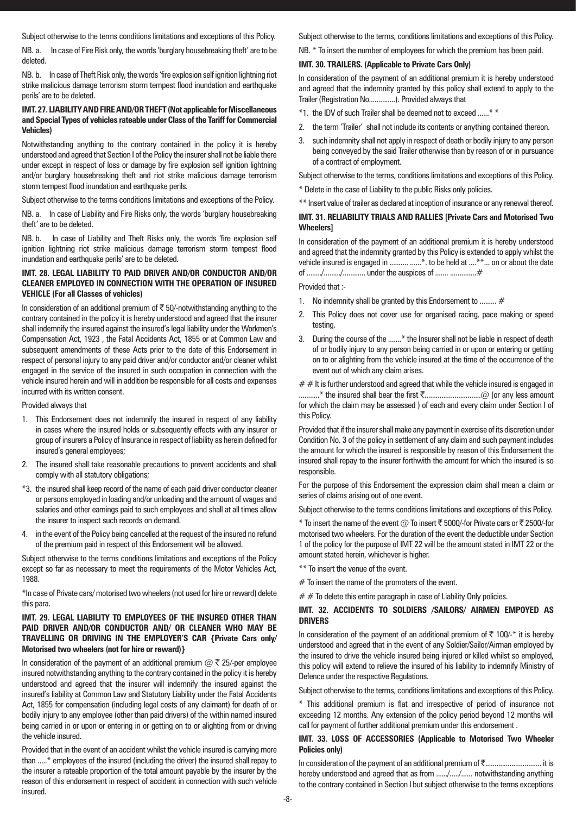Subject otherwise to the terms conditions limitations and exceptions of this Policy.

NB. a. In case of Fire Risk only, the words 'burglary housebreaking theft' are to be deleted.

NB. b. In case of Theft Risk only, the words 'fire explosion self ignition lightning riot strike malicious damage terrorism storm tempest flood inundation and earthquake perils' are to be deleted.

# **IMT. 27. LIABILITY AND FIRE AND/OR THEFT (Not applicable for Miscellaneous and Special Types of vehicles rateable under Class of the Tariff for Commercial Vehicles)**

Notwithstanding anything to the contrary contained in the policy it is hereby understood and agreed that Section I of the Policy the insurer shall not be liable there under except in respect of loss or damage by fire explosion self ignition lightning and/or burglary housebreaking theft and riot strike malicious damage terrorism storm tempest flood inundation and earthquake perils.

Subject otherwise to the terms conditions limitations and exceptions of the Policy.

NB. a. In case of Liability and Fire Risks only, the words 'burglary housebreaking theft' are to be deleted.

NB. b. In case of Liability and Theft Risks only, the words 'fire explosion self ignition lightning riot strike malicious damage terrorism storm tempest flood inundation and earthquake perils' are to be deleted.

# **IMT. 28. LEGAL LIABILITY TO PAID DRIVER AND/OR CONDUCTOR AND/OR CLEANER EMPLOYED IN CONNECTION WITH THE OPERATION OF INSURED VEHICLE (For all Classes of vehicles)**

In consideration of an additional premium of  $\bar{\tau}$  50/-notwithstanding anything to the contrary contained in the policy it is hereby understood and agreed that the insurer shall indemnify the insured against the insured's legal liability under the Workmen's Compensation Act, 1923 , the Fatal Accidents Act, 1855 or at Common Law and subsequent amendments of these Acts prior to the date of this Endorsement in respect of personal injury to any paid driver and/or conductor and/or cleaner whilst engaged in the service of the insured in such occupation in connection with the vehicle insured herein and will in addition be responsible for all costs and expenses incurred with its written consent.

#### Provided always that

- 1. This Endorsement does not indemnify the insured in respect of any liability in cases where the insured holds or subsequently effects with any insurer or group of insurers a Policy of Insurance in respect of liability as herein defined for insured's general employees;
- 2. The insured shall take reasonable precautions to prevent accidents and shall comply with all statutory obligations;
- \*3. the insured shall keep record of the name of each paid driver conductor cleaner or persons employed in loading and/or unloading and the amount of wages and salaries and other earnings paid to such employees and shall at all times allow the insurer to inspect such records on demand.
- 4. in the event of the Policy being cancelled at the request of the insured no refund of the premium paid in respect of this Endorsement will be allowed.

Subject otherwise to the terms conditions limitations and exceptions of the Policy except so far as necessary to meet the requirements of the Motor Vehicles Act, 1988.

\*In case of Private cars/ motorised two wheelers (not used for hire or reward) delete this para.

#### **IMT. 29. LEGAL LIABILITY TO EMPLOYEES OF THE INSURED OTHER THAN PAID DRIVER AND/OR CONDUCTOR AND/ OR CLEANER WHO MAY BE TRAVELLING OR DRIVING IN THE EMPLOYER'S CAR {Private Cars only/ Motorised two wheelers (not for hire or reward)}**

In consideration of the payment of an additional premium  $\omega \bar{\tau}$  25/-per employee insured notwithstanding anything to the contrary contained in the policy it is hereby understood and agreed that the insurer will indemnify the insured against the insured's liability at Common Law and Statutory Liability under the Fatal Accidents Act, 1855 for compensation (including legal costs of any claimant) for death of or bodily injury to any employee (other than paid drivers) of the within named insured being carried in or upon or entering in or getting on to or alighting from or driving the vehicle insured.

Provided that in the event of an accident whilst the vehicle insured is carrying more than .....\* employees of the insured (including the driver) the insured shall repay to the insurer a rateable proportion of the total amount payable by the insurer by the reason of this endorsement in respect of accident in connection with such vehicle insured.

Subject otherwise to the terms, conditions limitations and exceptions of this Policy.

# NB. \* To insert the number of employees for which the premium has been paid.

# **IMT. 30. TRAILERS. (Applicable to Private Cars Only)**

In consideration of the payment of an additional premium it is hereby understood and agreed that the indemnity granted by this policy shall extend to apply to the Trailer (Registration No..............). Provided always that

- \*1. the IDV of such Trailer shall be deemed not to exceed ......\* \*
- 2. the term 'Trailer' shall not include its contents or anything contained thereon.
- such indemnity shall not apply in respect of death or bodily injury to any person being conveyed by the said Trailer otherwise than by reason of or in pursuance of a contract of employment.

Subject otherwise to the terms, conditions limitations and exceptions of this Policy.

\* Delete in the case of Liability to the public Risks only policies.

\*\* Insert value of trailer as declared at inception of insurance or any renewal thereof.

# **IMT. 31. RELIABILITY TRIALS AND RALLIES [Private Cars and Motorised Two Wheelers]**

In consideration of the payment of an additional premium it is hereby understood and agreed that the indemnity granted by this Policy is extended to apply whilst the vehicle insured is engaged in .......... .......\*. to be held at ....\*\*... on or about the date of ......../........./............ under the auspices of ....... ..............#

#### Provided that :-

- 1. No indemnity shall be granted by this Endorsement to ......... #
- This Policy does not cover use for organised racing, pace making or speed testing.
- 3. During the course of the .......\* the Insurer shall not be liable in respect of death of or bodily injury to any person being carried in or upon or entering or getting on to or alighting from the vehicle insured at the time of the occurrence of the event out of which any claim arises.

 $# #$  It is further understood and agreed that while the vehicle insured is engaged in ...........\* the insured shall bear the first `..............................@ (or any less amount for which the claim may be assessed ) of each and every claim under Section I of this Policy.

Provided that if the insurer shall make any payment in exercise of its discretion under Condition No. 3 of the policy in settlement of any claim and such payment includes the amount for which the insured is responsible by reason of this Endorsement the insured shall repay to the insurer forthwith the amount for which the insured is so responsible.

For the purpose of this Endorsement the expression claim shall mean a claim or series of claims arising out of one event.

Subject otherwise to the terms conditions limitations and exceptions of this Policy.

\* To insert the name of the event  $@$  To insert  $\bar{\mathfrak{c}}$  5000/-for Private cars or  $\bar{\mathfrak{c}}$  2500/-for motorised two wheelers. For the duration of the event the deductible under Section 1 of the policy for the purpose of IMT 22 will be the amount stated in IMT 22 or the amount stated herein, whichever is higher.

- \*\* To insert the venue of the event.
- $#$  To insert the name of the promoters of the event.
- $# #$  To delete this entire paragraph in case of Liability Only policies.

# **IMT. 32. ACCIDENTS TO SOLDIERS /SAILORS/ AIRMEN EMPOYED AS DRIVERS**

In consideration of the payment of an additional premium of  $\bar{\tau}$  100/-\* it is hereby understood and agreed that in the event of any Soldier/Sailor/Airman employed by the insured to drive the vehicle insured being injured or killed whilst so employed, this policy will extend to relieve the insured of his liability to indemnify Ministry of Defence under the respective Regulations.

Subject otherwise to the terms, conditions limitations and exceptions of this Policy.

\* This additional premium is flat and irrespective of period of insurance not exceeding 12 months. Any extension of the policy period beyond 12 months will call for payment of further additional premium under this endorsement .

# **IMT. 33. LOSS OF ACCESSORIES (Applicable to Motorised Two Wheeler Policies only)**

In consideration of the payment of an additional premium of ₹................................. it is hereby understood and agreed that as from ....../...../...... notwithstanding anything to the contrary contained in Section I but subject otherwise to the terms exceptions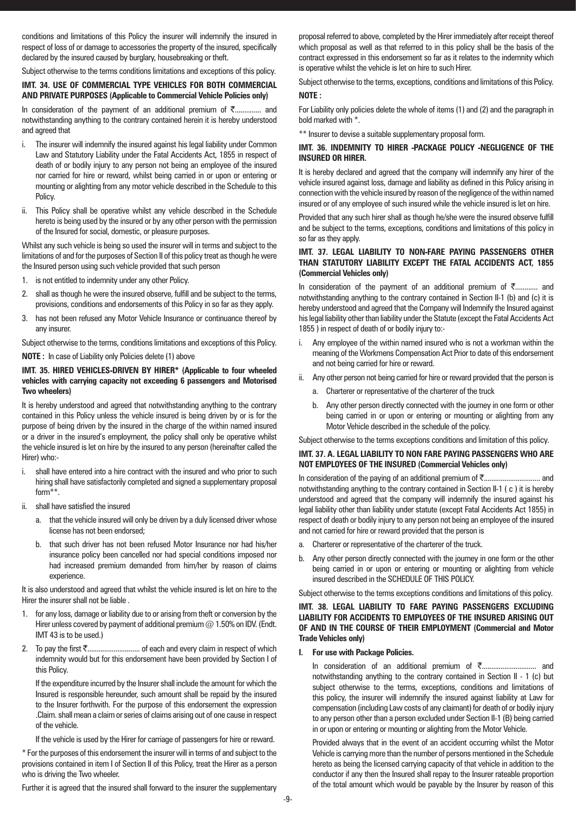conditions and limitations of this Policy the insurer will indemnify the insured in respect of loss of or damage to accessories the property of the insured, specifically declared by the insured caused by burglary, housebreaking or theft.

Subject otherwise to the terms conditions limitations and exceptions of this policy.

# **IMT. 34. USE OF COMMERCIAL TYPE VEHICLES FOR BOTH COMMERCIAL AND PRIVATE PURPOSES (Applicable to Commercial Vehicle Policies only)**

In consideration of the payment of an additional premium of  $\bar{\tau}$ .............. and notwithstanding anything to the contrary contained herein it is hereby understood and agreed that

- i. The insurer will indemnify the insured against his legal liability under Common Law and Statutory Liability under the Fatal Accidents Act, 1855 in respect of death of or bodily injury to any person not being an employee of the insured nor carried for hire or reward, whilst being carried in or upon or entering or mounting or alighting from any motor vehicle described in the Schedule to this Policy.
- ii. This Policy shall be operative whilst any vehicle described in the Schedule hereto is being used by the insured or by any other person with the permission of the Insured for social, domestic, or pleasure purposes.

Whilst any such vehicle is being so used the insurer will in terms and subject to the limitations of and for the purposes of Section II of this policy treat as though he were the Insured person using such vehicle provided that such person

- 1. is not entitled to indemnity under any other Policy.
- 2. shall as though he were the insured observe, fulfill and be subject to the terms, provisions, conditions and endorsements of this Policy in so far as they apply.
- 3. has not been refused any Motor Vehicle Insurance or continuance thereof by any insurer.

Subject otherwise to the terms, conditions limitations and exceptions of this Policy. **NOTE :** In case of Liability only Policies delete (1) above

# **IMT. 35. HIRED VEHICLES-DRIVEN BY HIRER\* (Applicable to four wheeled vehicles with carrying capacity not exceeding 6 passengers and Motorised Two wheelers)**

It is hereby understood and agreed that notwithstanding anything to the contrary contained in this Policy unless the vehicle insured is being driven by or is for the purpose of being driven by the insured in the charge of the within named insured or a driver in the insured's employment, the policy shall only be operative whilst the vehicle insured is let on hire by the insured to any person (hereinafter called the Hirer) who:-

- i. shall have entered into a hire contract with the insured and who prior to such hiring shall have satisfactorily completed and signed a supplementary proposal form\*\*.
- ii. shall have satisfied the insured
	- a. that the vehicle insured will only be driven by a duly licensed driver whose license has not been endorsed;
	- b. that such driver has not been refused Motor Insurance nor had his/her insurance policy been cancelled nor had special conditions imposed nor had increased premium demanded from him/her by reason of claims experience.

It is also understood and agreed that whilst the vehicle insured is let on hire to the Hirer the insurer shall not be liable .

- 1. for any loss, damage or liability due to or arising from theft or conversion by the Hirer unless covered by payment of additional premium  $@$  1.50% on IDV. (Endt. IMT 43 is to be used.)
- 2. To pay the first `............................ of each and every claim in respect of which indemnity would but for this endorsement have been provided by Section I of this Policy.

If the expenditure incurred by the Insurer shall include the amount for which the Insured is responsible hereunder, such amount shall be repaid by the insured to the Insurer forthwith. For the purpose of this endorsement the expression .Claim. shall mean a claim or series of claims arising out of one cause in respect of the vehicle.

If the vehicle is used by the Hirer for carriage of passengers for hire or reward.

\* For the purposes of this endorsement the insurer will in terms of and subject to the provisions contained in item I of Section II of this Policy, treat the Hirer as a person who is driving the Two wheeler.

Further it is agreed that the insured shall forward to the insurer the supplementary

proposal referred to above, completed by the Hirer immediately after receipt thereof which proposal as well as that referred to in this policy shall be the basis of the contract expressed in this endorsement so far as it relates to the indemnity which is operative whilst the vehicle is let on hire to such Hirer.

Subject otherwise to the terms, exceptions, conditions and limitations of this Policy. **NOTE :**

For Liability only policies delete the whole of items (1) and (2) and the paragraph in bold marked with \*.

\*\* Insurer to devise a suitable supplementary proposal form.

# **IMT. 36. INDEMNITY TO HIRER -PACKAGE POLICY -NEGLIGENCE OF THE INSURED OR HIRER.**

It is hereby declared and agreed that the company will indemnify any hirer of the vehicle insured against loss, damage and liability as defined in this Policy arising in connection with the vehicle insured by reason of the negligence of the within named insured or of any employee of such insured while the vehicle insured is let on hire.

Provided that any such hirer shall as though he/she were the insured observe fulfill and be subject to the terms, exceptions, conditions and limitations of this policy in so far as they apply.

# **IMT. 37. LEGAL LIABILITY TO NON-FARE PAYING PASSENGERS OTHER THAN STATUTORY LIABILITY EXCEPT THE FATAL ACCIDENTS ACT, 1855 (Commercial Vehicles only)**

In consideration of the payment of an additional premium of  $\bar{\tau}$ ............ and notwithstanding anything to the contrary contained in Section II-1 (b) and (c) it is hereby understood and agreed that the Company will Indemnify the Insured against his legal liability other than liability under the Statute (except the Fatal Accidents Act 1855 ) in respect of death of or bodily injury to:-

- i. Any employee of the within named insured who is not a workman within the meaning of the Workmens Compensation Act Prior to date of this endorsement and not being carried for hire or reward.
- ii. Any other person not being carried for hire or reward provided that the person is
	- a. Charterer or representative of the charterer of the truck
	- b. Any other person directly connected with the journey in one form or other being carried in or upon or entering or mounting or alighting from any Motor Vehicle described in the schedule of the policy.

Subject otherwise to the terms exceptions conditions and limitation of this policy.

# **IMT. 37. A. LEGAL LIABILITY TO NON FARE PAYING PASSENGERS WHO ARE NOT EMPLOYEES OF THE INSURED (Commercial Vehicles only)**

In consideration of the paying of an additional premium of `.............................. and notwithstanding anything to the contrary contained in Section II-1 ( c ) it is hereby understood and agreed that the company will indemnify the insured against his legal liability other than liability under statute (except Fatal Accidents Act 1855) in respect of death or bodily injury to any person not being an employee of the insured and not carried for hire or reward provided that the person is

- a. Charterer or representative of the charterer of the truck.
- b. Any other person directly connected with the journey in one form or the other being carried in or upon or entering or mounting or alighting from vehicle insured described in the SCHEDULE OF THIS POLICY.

Subject otherwise to the terms exceptions conditions and limitations of this policy.

# **IMT. 38. LEGAL LIABILITY TO FARE PAYING PASSENGERS EXCLUDING LIABILITY FOR ACCIDENTS TO EMPLOYEES OF THE INSURED ARISING OUT OF AND IN THE COURSE OF THEIR EMPLOYMENT (Commercial and Motor Trade Vehicles only)**

# **I. For use with Package Policies.**

In consideration of an additional premium of ₹............................. and notwithstanding anything to the contrary contained in Section II - 1 (c) but subject otherwise to the terms, exceptions, conditions and limitations of this policy, the insurer will indemnify the insured against liability at Law for compensation (including Law costs of any claimant) for death of or bodily injury to any person other than a person excluded under Section II-1 (B) being carried in or upon or entering or mounting or alighting from the Motor Vehicle.

Provided always that in the event of an accident occurring whilst the Motor Vehicle is carrying more than the number of persons mentioned in the Schedule hereto as being the licensed carrying capacity of that vehicle in addition to the conductor if any then the Insured shall repay to the Insurer rateable proportion of the total amount which would be payable by the Insurer by reason of this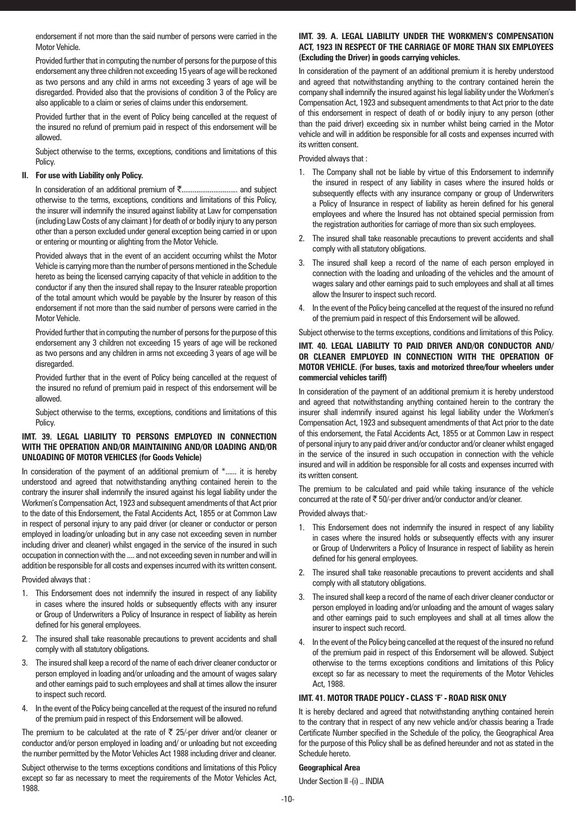endorsement if not more than the said number of persons were carried in the Motor Vehicle.

Provided further that in computing the number of persons for the purpose of this endorsement any three children not exceeding 15 years of age will be reckoned as two persons and any child in arms not exceeding 3 years of age will be disregarded. Provided also that the provisions of condition 3 of the Policy are also applicable to a claim or series of claims under this endorsement.

Provided further that in the event of Policy being cancelled at the request of the insured no refund of premium paid in respect of this endorsement will be allowed.

Subject otherwise to the terms, exceptions, conditions and limitations of this Policy.

#### **II. For use with Liability only Policy.**

In consideration of an additional premium of ₹................................. and subject otherwise to the terms, exceptions, conditions and limitations of this Policy, the insurer will indemnify the insured against liability at Law for compensation (including Law Costs of any claimant ) for death of or bodily injury to any person other than a person excluded under general exception being carried in or upon or entering or mounting or alighting from the Motor Vehicle.

Provided always that in the event of an accident occurring whilst the Motor Vehicle is carrying more than the number of persons mentioned in the Schedule hereto as being the licensed carrying capacity of that vehicle in addition to the conductor if any then the insured shall repay to the Insurer rateable proportion of the total amount which would be payable by the Insurer by reason of this endorsement if not more than the said number of persons were carried in the Motor Vehicle.

Provided further that in computing the number of persons for the purpose of this endorsement any 3 children not exceeding 15 years of age will be reckoned as two persons and any children in arms not exceeding 3 years of age will be disregarded.

Provided further that in the event of Policy being cancelled at the request of the insured no refund of premium paid in respect of this endorsement will be allowed.

Subject otherwise to the terms, exceptions, conditions and limitations of this Policy.

#### **IMT. 39. LEGAL LIABILITY TO PERSONS EMPLOYED IN CONNECTION WITH THE OPERATION AND/OR MAINTAINING AND/OR LOADING AND/OR UNLOADING OF MOTOR VEHICLES (for Goods Vehicle)**

In consideration of the payment of an additional premium of  $*$ ...... it is hereby understood and agreed that notwithstanding anything contained herein to the contrary the insurer shall indemnify the insured against his legal liability under the Workmen's Compensation Act, 1923 and subsequent amendments of that Act prior to the date of this Endorsement, the Fatal Accidents Act, 1855 or at Common Law in respect of personal injury to any paid driver (or cleaner or conductor or person employed in loading/or unloading but in any case not exceeding seven in number including driver and cleaner) whilst engaged in the service of the insured in such occupation in connection with the .... and not exceeding seven in number and will in addition be responsible for all costs and expenses incurred with its written consent.

Provided always that :

- 1. This Endorsement does not indemnify the insured in respect of any liability in cases where the insured holds or subsequently effects with any insurer or Group of Underwriters a Policy of Insurance in respect of liability as herein defined for his general employees.
- 2. The insured shall take reasonable precautions to prevent accidents and shall comply with all statutory obligations.
- 3. The insured shall keep a record of the name of each driver cleaner conductor or person employed in loading and/or unloading and the amount of wages salary and other earnings paid to such employees and shall at times allow the insurer to inspect such record.
- 4. In the event of the Policy being cancelled at the request of the insured no refund of the premium paid in respect of this Endorsement will be allowed.

The premium to be calculated at the rate of  $\bar{\tau}$  25/-per driver and/or cleaner or conductor and/or person employed in loading and/ or unloading but not exceeding the number permitted by the Motor Vehicles Act 1988 including driver and cleaner.

Subject otherwise to the terms exceptions conditions and limitations of this Policy except so far as necessary to meet the requirements of the Motor Vehicles Act, 1988.

# **IMT. 39. A. LEGAL LIABILITY UNDER THE WORKMEN'S COMPENSATION ACT, 1923 IN RESPECT OF THE CARRIAGE OF MORE THAN SIX EMPLOYEES (Excluding the Driver) in goods carrying vehicles.**

In consideration of the payment of an additional premium it is hereby understood and agreed that notwithstanding anything to the contrary contained herein the company shall indemnify the insured against his legal liability under the Workmen's Compensation Act, 1923 and subsequent amendments to that Act prior to the date of this endorsement in respect of death of or bodily injury to any person (other than the paid driver) exceeding six in number whilst being carried in the Motor vehicle and will in addition be responsible for all costs and expenses incurred with its written consent.

Provided always that :

- 1. The Company shall not be liable by virtue of this Endorsement to indemnify the insured in respect of any liability in cases where the insured holds or subsequently effects with any insurance company or group of Underwriters a Policy of Insurance in respect of liability as herein defined for his general employees and where the Insured has not obtained special permission from the registration authorities for carriage of more than six such employees.
- The insured shall take reasonable precautions to prevent accidents and shall comply with all statutory obligations.
- 3. The insured shall keep a record of the name of each person employed in connection with the loading and unloading of the vehicles and the amount of wages salary and other earnings paid to such employees and shall at all times allow the Insurer to inspect such record.
- 4. In the event of the Policy being cancelled at the request of the insured no refund of the premium paid in respect of this Endorsement will be allowed.

Subject otherwise to the terms exceptions, conditions and limitations of this Policy.

# **IMT. 40. LEGAL LIABILITY TO PAID DRIVER AND/OR CONDUCTOR AND/ OR CLEANER EMPLOYED IN CONNECTION WITH THE OPERATION OF MOTOR VEHICLE. (For buses, taxis and motorized three/four wheelers under commercial vehicles tariff)**

In consideration of the payment of an additional premium it is hereby understood and agreed that notwithstanding anything contained herein to the contrary the insurer shall indemnify insured against his legal liability under the Workmen's Compensation Act, 1923 and subsequent amendments of that Act prior to the date of this endorsement, the Fatal Accidents Act, 1855 or at Common Law in respect of personal injury to any paid driver and/or conductor and/or cleaner whilst engaged in the service of the insured in such occupation in connection with the vehicle insured and will in addition be responsible for all costs and expenses incurred with its written consent.

The premium to be calculated and paid while taking insurance of the vehicle concurred at the rate of  $\overline{5}$  50/-per driver and/or conductor and/or cleaner.

Provided always that:-

- 1. This Endorsement does not indemnify the insured in respect of any liability in cases where the insured holds or subsequently effects with any insurer or Group of Underwriters a Policy of Insurance in respect of liability as herein defined for his general employees.
- 2. The insured shall take reasonable precautions to prevent accidents and shall comply with all statutory obligations.
- The insured shall keep a record of the name of each driver cleaner conductor or person employed in loading and/or unloading and the amount of wages salary and other earnings paid to such employees and shall at all times allow the insurer to inspect such record.
- 4. In the event of the Policy being cancelled at the request of the insured no refund of the premium paid in respect of this Endorsement will be allowed. Subject otherwise to the terms exceptions conditions and limitations of this Policy except so far as necessary to meet the requirements of the Motor Vehicles Act, 1988.

# **IMT. 41. MOTOR TRADE POLICY - CLASS 'F' - ROAD RISK ONLY**

It is hereby declared and agreed that notwithstanding anything contained herein to the contrary that in respect of any new vehicle and/or chassis bearing a Trade Certificate Number specified in the Schedule of the policy, the Geographical Area for the purpose of this Policy shall be as defined hereunder and not as stated in the Schedule hereto.

# **Geographical Area**

Under Section II -(i) .. INDIA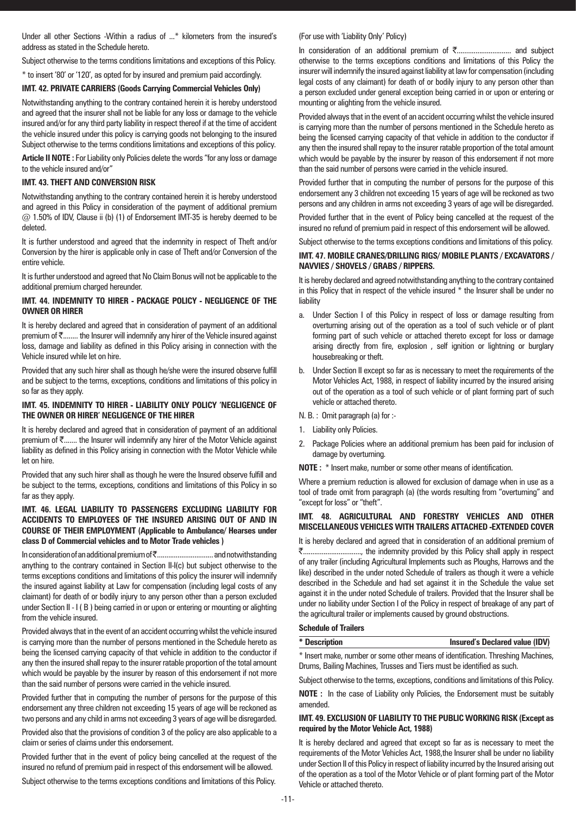Under all other Sections -Within a radius of ...\* kilometers from the insured's address as stated in the Schedule hereto.

Subject otherwise to the terms conditions limitations and exceptions of this Policy.

\* to insert '80' or '120', as opted for by insured and premium paid accordingly.

# **IMT. 42. PRIVATE CARRIERS (Goods Carrying Commercial Vehicles Only)**

Notwithstanding anything to the contrary contained herein it is hereby understood and agreed that the insurer shall not be liable for any loss or damage to the vehicle insured and/or for any third party liability in respect thereof if at the time of accident the vehicle insured under this policy is carrying goods not belonging to the insured Subject otherwise to the terms conditions limitations and exceptions of this policy.

**Article II NOTE :** For Liability only Policies delete the words "for any loss or damage to the vehicle insured and/or"

#### **IMT. 43. THEFT AND CONVERSION RISK**

Notwithstanding anything to the contrary contained herein it is hereby understood and agreed in this Policy in consideration of the payment of additional premium @ 1.50% of IDV, Clause ii (b) (1) of Endorsement IMT-35 is hereby deemed to be deleted.

It is further understood and agreed that the indemnity in respect of Theft and/or Conversion by the hirer is applicable only in case of Theft and/or Conversion of the entire vehicle.

It is further understood and agreed that No Claim Bonus will not be applicable to the additional premium charged hereunder.

# **IMT. 44. INDEMNITY TO HIRER - PACKAGE POLICY - NEGLIGENCE OF THE OWNER OR HIRER**

It is hereby declared and agreed that in consideration of payment of an additional premium of  $\bar{\tau}$ ........ the Insurer will indemnify any hirer of the Vehicle insured against loss, damage and liability as defined in this Policy arising in connection with the Vehicle insured while let on hire.

Provided that any such hirer shall as though he/she were the insured observe fulfill and be subject to the terms, exceptions, conditions and limitations of this policy in so far as they apply.

#### **IMT. 45. INDEMNITY TO HIRER - LIABILITY ONLY POLICY 'NEGLIGENCE OF THE OWNER OR HIRER' NEGLIGENCE OF THE HIRER**

It is hereby declared and agreed that in consideration of payment of an additional premium of  $\bar{\tau}$ ....... the Insurer will indemnify any hirer of the Motor Vehicle against liability as defined in this Policy arising in connection with the Motor Vehicle while let on hire.

Provided that any such hirer shall as though he were the Insured observe fulfill and be subject to the terms, exceptions, conditions and limitations of this Policy in so far as they apply.

# **IMT. 46. LEGAL LIABILITY TO PASSENGERS EXCLUDING LIABILITY FOR ACCIDENTS TO EMPLOYEES OF THE INSURED ARISING OUT OF AND IN COURSE OF THEIR EMPLOYMENT (Applicable to Ambulance/ Hearses under class D of Commercial vehicles and to Motor Trade vehicles )**

In consideration of an additional premium of `.............................. and notwithstanding anything to the contrary contained in Section II-I(c) but subject otherwise to the terms exceptions conditions and limitations of this policy the insurer will indemnify the insured against liability at Law for compensation (including legal costs of any claimant) for death of or bodily injury to any person other than a person excluded under Section II - I ( B ) being carried in or upon or entering or mounting or alighting from the vehicle insured.

Provided always that in the event of an accident occurring whilst the vehicle insured is carrying more than the number of persons mentioned in the Schedule hereto as being the licensed carrying capacity of that vehicle in addition to the conductor if any then the insured shall repay to the insurer ratable proportion of the total amount which would be payable by the insurer by reason of this endorsement if not more than the said number of persons were carried in the vehicle insured.

Provided further that in computing the number of persons for the purpose of this endorsement any three children not exceeding 15 years of age will be reckoned as two persons and any child in arms not exceeding 3 years of age will be disregarded.

Provided also that the provisions of condition 3 of the policy are also applicable to a claim or series of claims under this endorsement.

Provided further that in the event of policy being cancelled at the request of the insured no refund of premium paid in respect of this endorsement will be allowed.

Subject otherwise to the terms exceptions conditions and limitations of this Policy.

# (For use with 'Liability Only' Policy)

In consideration of an additional premium of ₹............................... and subject otherwise to the terms exceptions conditions and limitations of this Policy the insurer will indemnify the insured against liability at law for compensation (including legal costs of any claimant) for death of or bodily injury to any person other than a person excluded under general exception being carried in or upon or entering or mounting or alighting from the vehicle insured.

Provided always that in the event of an accident occurring whilst the vehicle insured is carrying more than the number of persons mentioned in the Schedule hereto as being the licensed carrying capacity of that vehicle in addition to the conductor if any then the insured shall repay to the insurer ratable proportion of the total amount which would be payable by the insurer by reason of this endorsement if not more than the said number of persons were carried in the vehicle insured.

Provided further that in computing the number of persons for the purpose of this endorsement any 3 children not exceeding 15 years of age will be reckoned as two persons and any children in arms not exceeding 3 years of age will be disregarded.

Provided further that in the event of Policy being cancelled at the request of the insured no refund of premium paid in respect of this endorsement will be allowed.

Subject otherwise to the terms exceptions conditions and limitations of this policy.

#### **IMT. 47. MOBILE CRANES/DRILLING RIGS/ MOBILE PLANTS / EXCAVATORS / NAVVIES / SHOVELS / GRABS / RIPPERS.**

It is hereby declared and agreed notwithstanding anything to the contrary contained in this Policy that in respect of the vehicle insured \* the Insurer shall be under no liability

- a. Under Section I of this Policy in respect of loss or damage resulting from overturning arising out of the operation as a tool of such vehicle or of plant forming part of such vehicle or attached thereto except for loss or damage arising directly from fire, explosion , self ignition or lightning or burglary housebreaking or theft.
- b. Under Section II except so far as is necessary to meet the requirements of the Motor Vehicles Act, 1988, in respect of liability incurred by the insured arising out of the operation as a tool of such vehicle or of plant forming part of such vehicle or attached thereto.

# N. B. : Omit paragraph (a) for :-

- 1. Liability only Policies.
- 2. Package Policies where an additional premium has been paid for inclusion of damage by overturning.

**NOTE :** \* Insert make, number or some other means of identification.

Where a premium reduction is allowed for exclusion of damage when in use as a tool of trade omit from paragraph (a) (the words resulting from "overturning" and "except for loss" or "theft".

# **IMT. 48. AGRICULTURAL AND FORESTRY VEHICLES AND OTHER MISCELLANEOUS VEHICLES WITH TRAILERS ATTACHED -EXTENDED COVER**

It is hereby declared and agreed that in consideration of an additional premium of `..............................., the indemnity provided by this Policy shall apply in respect of any trailer (including Agricultural Implements such as Ploughs, Harrows and the like) described in the under noted Schedule of trailers as though it were a vehicle described in the Schedule and had set against it in the Schedule the value set against it in the under noted Schedule of trailers. Provided that the Insurer shall be under no liability under Section I of the Policy in respect of breakage of any part of the agricultural trailer or implements caused by ground obstructions.

#### **Schedule of Trailers**

| * Description | <b>Insured's Declared value (IDV)</b> |
|---------------|---------------------------------------|
|               |                                       |

\* Insert make, number or some other means of identification. Threshing Machines, Drums, Bailing Machines, Trusses and Tiers must be identified as such.

Subject otherwise to the terms, exceptions, conditions and limitations of this Policy.

**NOTE :** In the case of Liability only Policies, the Endorsement must be suitably amended.

# **IMT. 49. EXCLUSION OF LIABILITY TO THE PUBLIC WORKING RISK (Except as required by the Motor Vehicle Act, 1988)**

It is hereby declared and agreed that except so far as is necessary to meet the requirements of the Motor Vehicles Act, 1988,the Insurer shall be under no liability under Section II of this Policy in respect of liability incurred by the Insured arising out of the operation as a tool of the Motor Vehicle or of plant forming part of the Motor Vehicle or attached thereto.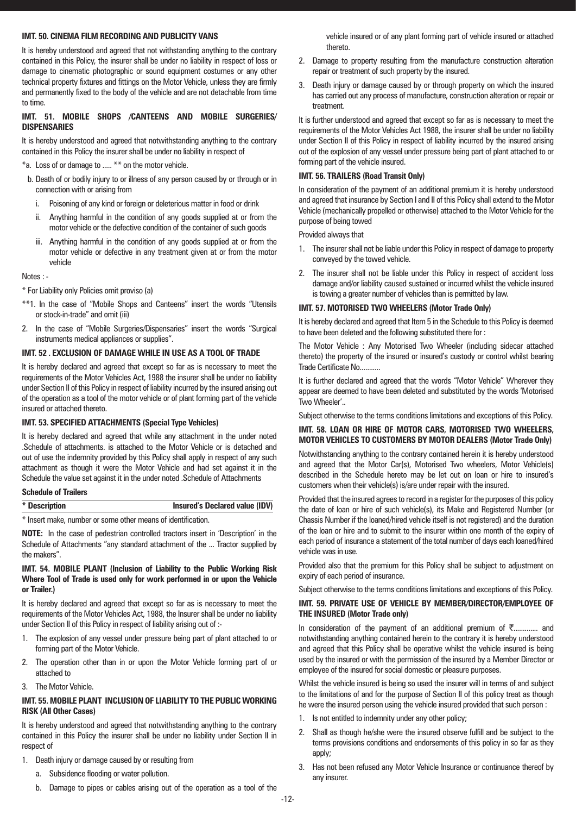# **IMT. 50. CINEMA FILM RECORDING AND PUBLICITY VANS**

It is hereby understood and agreed that not withstanding anything to the contrary contained in this Policy, the insurer shall be under no liability in respect of loss or damage to cinematic photographic or sound equipment costumes or any other technical property fixtures and fittings on the Motor Vehicle, unless they are firmly and permanently fixed to the body of the vehicle and are not detachable from time to time.

# **IMT. 51. MOBILE SHOPS /CANTEENS AND MOBILE SURGERIES/ DISPENSARIES**

It is hereby understood and agreed that notwithstanding anything to the contrary contained in this Policy the insurer shall be under no liability in respect of

- \*a. Loss of or damage to ..... \*\* on the motor vehicle.
- b. Death of or bodily injury to or illness of any person caused by or through or in connection with or arising from
	- i. Poisoning of any kind or foreign or deleterious matter in food or drink
	- ii. Anything harmful in the condition of any goods supplied at or from the motor vehicle or the defective condition of the container of such goods
	- iii. Anything harmful in the condition of any goods supplied at or from the motor vehicle or defective in any treatment given at or from the motor vehicle

Notes : -

\* For Liability only Policies omit proviso (a)

- \*\*1. In the case of "Mobile Shops and Canteens" insert the words "Utensils or stock-in-trade" and omit (iii)
- In the case of "Mobile Surgeries/Dispensaries" insert the words "Surgical instruments medical appliances or supplies".

# **IMT. 52 . EXCLUSION OF DAMAGE WHILE IN USE AS A TOOL OF TRADE**

It is hereby declared and agreed that except so far as is necessary to meet the requirements of the Motor Vehicles Act, 1988 the insurer shall be under no liability under Section II of this Policy in respect of liability incurred by the insured arising out of the operation as a tool of the motor vehicle or of plant forming part of the vehicle insured or attached thereto.

# **IMT. 53. SPECIFIED ATTACHMENTS (Special Type Vehicles)**

It is hereby declared and agreed that while any attachment in the under noted .Schedule of attachments. is attached to the Motor Vehicle or is detached and out of use the indemnity provided by this Policy shall apply in respect of any such attachment as though it were the Motor Vehicle and had set against it in the Schedule the value set against it in the under noted .Schedule of Attachments

# **Schedule of Trailers**

#### **\* Description Insured's Declared value (IDV)**

\* Insert make, number or some other means of identification.

**NOTE:** In the case of pedestrian controlled tractors insert in 'Description' in the Schedule of Attachments "any standard attachment of the ... Tractor supplied by the makers".

# **IMT. 54. MOBILE PLANT (Inclusion of Liability to the Public Working Risk Where Tool of Trade is used only for work performed in or upon the Vehicle or Trailer.)**

It is hereby declared and agreed that except so far as is necessary to meet the requirements of the Motor Vehicles Act, 1988, the Insurer shall be under no liability under Section II of this Policy in respect of liability arising out of :-

- 1. The explosion of any vessel under pressure being part of plant attached to or forming part of the Motor Vehicle.
- 2. The operation other than in or upon the Motor Vehicle forming part of or attached to
- 3. The Motor Vehicle.

# **IMT. 55. MOBILE PLANT INCLUSION OF LIABILITY TO THE PUBLIC WORKING RISK (All Other Cases)**

It is hereby understood and agreed that notwithstanding anything to the contrary contained in this Policy the insurer shall be under no liability under Section II in respect of

- 1. Death injury or damage caused by or resulting from
	- a. Subsidence flooding or water pollution.
	- b. Damage to pipes or cables arising out of the operation as a tool of the

vehicle insured or of any plant forming part of vehicle insured or attached thereto.

- 2. Damage to property resulting from the manufacture construction alteration repair or treatment of such property by the insured.
- 3. Death injury or damage caused by or through property on which the insured has carried out any process of manufacture, construction alteration or repair or treatment.

It is further understood and agreed that except so far as is necessary to meet the requirements of the Motor Vehicles Act 1988, the insurer shall be under no liability under Section II of this Policy in respect of liability incurred by the insured arising out of the explosion of any vessel under pressure being part of plant attached to or forming part of the vehicle insured.

# **IMT. 56. TRAILERS (Road Transit Only)**

In consideration of the payment of an additional premium it is hereby understood and agreed that insurance by Section I and II of this Policy shall extend to the Motor Vehicle (mechanically propelled or otherwise) attached to the Motor Vehicle for the purpose of being towed

Provided always that

- 1. The insurer shall not be liable under this Policy in respect of damage to property conveyed by the towed vehicle.
- 2. The insurer shall not be liable under this Policy in respect of accident loss damage and/or liability caused sustained or incurred whilst the vehicle insured is towing a greater number of vehicles than is permitted by law.

#### **IMT. 57. MOTORISED TWO WHEELERS (Motor Trade Only)**

It is hereby declared and agreed that Item 5 in the Schedule to this Policy is deemed to have been deleted and the following substituted there for :

The Motor Vehicle : Any Motorised Two Wheeler (including sidecar attached thereto) the property of the insured or insured's custody or control whilst bearing Trade Certificate No...........

It is further declared and agreed that the words "Motor Vehicle" Wherever they appear are deemed to have been deleted and substituted by the words 'Motorised Two Wheeler'..

Subject otherwise to the terms conditions limitations and exceptions of this Policy.

# **IMT. 58. LOAN OR HIRE OF MOTOR CARS, MOTORISED TWO WHEELERS, MOTOR VEHICLES TO CUSTOMERS BY MOTOR DEALERS (Motor Trade Only)**

Notwithstanding anything to the contrary contained herein it is hereby understood and agreed that the Motor Car(s), Motorised Two wheelers, Motor Vehicle(s) described in the Schedule hereto may be let out on loan or hire to insured's customers when their vehicle(s) is/are under repair with the insured.

Provided that the insured agrees to record in a register for the purposes of this policy the date of loan or hire of such vehicle(s), its Make and Registered Number (or Chassis Number if the loaned/hired vehicle itself is not registered) and the duration of the loan or hire and to submit to the insurer within one month of the expiry of each period of insurance a statement of the total number of days each loaned/hired vehicle was in use.

Provided also that the premium for this Policy shall be subject to adjustment on expiry of each period of insurance.

Subject otherwise to the terms conditions limitations and exceptions of this Policy.

#### **IMT. 59. PRIVATE USE OF VEHICLE BY MEMBER/DIRECTOR/EMPLOYEE OF THE INSURED (Motor Trade only)**

In consideration of the payment of an additional premium of  $\bar{\zeta}$ ............. and notwithstanding anything contained herein to the contrary it is hereby understood and agreed that this Policy shall be operative whilst the vehicle insured is being used by the insured or with the permission of the insured by a Member Director or employee of the insured for social domestic or pleasure purposes.

Whilst the vehicle insured is being so used the insurer will in terms of and subject to the limitations of and for the purpose of Section II of this policy treat as though he were the insured person using the vehicle insured provided that such person :

- 1. Is not entitled to indemnity under any other policy;
- 2. Shall as though he/she were the insured observe fulfill and be subject to the terms provisions conditions and endorsements of this policy in so far as they apply;
- 3. Has not been refused any Motor Vehicle Insurance or continuance thereof by any insurer.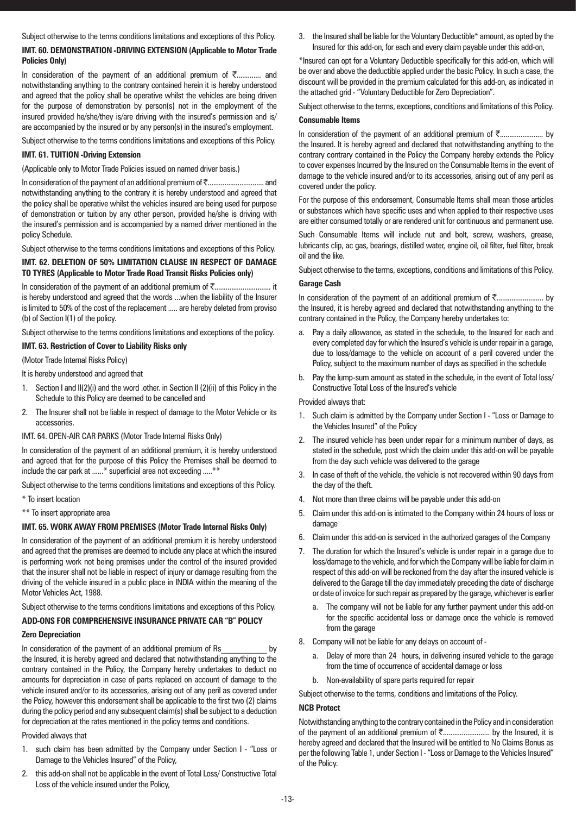Subject otherwise to the terms conditions limitations and exceptions of this Policy.

# **IMT. 60. DEMONSTRATION -DRIVING EXTENSION (Applicable to Motor Trade Policies Only)**

In consideration of the payment of an additional premium of  $\bar{\tau}$ ............. and notwithstanding anything to the contrary contained herein it is hereby understood and agreed that the policy shall be operative whilst the vehicles are being driven for the purpose of demonstration by person(s) not in the employment of the insured provided he/she/they is/are driving with the insured's permission and is/ are accompanied by the insured or by any person(s) in the insured's employment.

Subject otherwise to the terms conditions limitations and exceptions of this Policy.

# **IMT. 61. TUITION -Driving Extension**

(Applicable only to Motor Trade Policies issued on named driver basis.)

In consideration of the payment of an additional premium of `.............................. and notwithstanding anything to the contrary it is hereby understood and agreed that the policy shall be operative whilst the vehicles insured are being used for purpose of demonstration or tuition by any other person, provided he/she is driving with the insured's permission and is accompanied by a named driver mentioned in the policy Schedule.

Subject otherwise to the terms conditions limitations and exceptions of this Policy.

# **IMT. 62. DELETION OF 50% LIMITATION CLAUSE IN RESPECT OF DAMAGE TO TYRES (Applicable to Motor Trade Road Transit Risks Policies only)**

In consideration of the payment of an additional premium of ₹............................... it is hereby understood and agreed that the words ...when the liability of the Insurer is limited to 50% of the cost of the replacement ..... are hereby deleted from proviso (b) of Section I(1) of the policy.

Subject otherwise to the terms conditions limitations and exceptions of the policy.

# **IMT. 63. Restriction of Cover to Liability Risks only**

(Motor Trade Internal Risks Policy)

It is hereby understood and agreed that

- 1. Section I and II(2)(i) and the word .other. in Section II (2)(ii) of this Policy in the Schedule to this Policy are deemed to be cancelled and
- 2. The Insurer shall not be liable in respect of damage to the Motor Vehicle or its accessories.

# IMT. 64. OPEN-AIR CAR PARKS (Motor Trade Internal Risks Only)

In consideration of the payment of an additional premium, it is hereby understood and agreed that for the purpose of this Policy the Premises shall be deemed to include the car park at ......\* superficial area not exceeding .....\*\*

Subject otherwise to the terms conditions limitations and exceptions of this Policy.

- \* To insert location
- \*\* To insert appropriate area

# **IMT. 65. WORK AWAY FROM PREMISES (Motor Trade Internal Risks Only)**

In consideration of the payment of an additional premium it is hereby understood and agreed that the premises are deemed to include any place at which the insured is performing work not being premises under the control of the insured provided that the insurer shall not be liable in respect of injury or damage resulting from the driving of the vehicle insured in a public place in INDIA within the meaning of the Motor Vehicles Act, 1988.

Subject otherwise to the terms conditions limitations and exceptions of this Policy.

# **ADD-ONS FOR COMPREHENSIVE INSURANCE PRIVATE CAR "B" POLICY**

# **Zero Depreciation**

In consideration of the payment of an additional premium of Rs by the Insured, it is hereby agreed and declared that notwithstanding anything to the contrary contained in the Policy, the Company hereby undertakes to deduct no amounts for depreciation in case of parts replaced on account of damage to the vehicle insured and/or to its accessories, arising out of any peril as covered under the Policy, however this endorsement shall be applicable to the first two (2) claims during the policy period and any subsequent claim(s) shall be subject to a deduction for depreciation at the rates mentioned in the policy terms and conditions.

# Provided always that

- 1. such claim has been admitted by the Company under Section I "Loss or Damage to the Vehicles Insured" of the Policy,
- 2. this add-on shall not be applicable in the event of Total Loss/ Constructive Total Loss of the vehicle insured under the Policy,

3. the Insured shall be liable for the Voluntary Deductible\* amount, as opted by the Insured for this add-on, for each and every claim payable under this add-on,

\*Insured can opt for a Voluntary Deductible specifically for this add-on, which will be over and above the deductible applied under the basic Policy. In such a case, the discount will be provided in the premium calculated for this add-on, as indicated in the attached grid - "Voluntary Deductible for Zero Depreciation".

Subject otherwise to the terms, exceptions, conditions and limitations of this Policy.

# **Consumable Items**

In consideration of the payment of an additional premium of `....................... by the Insured. It is hereby agreed and declared that notwithstanding anything to the contrary contrary contained in the Policy the Company hereby extends the Policy to cover expenses Incurred by the Insured on the Consumable Items in the event of damage to the vehicle insured and/or to its accessories, arising out of any peril as covered under the policy.

For the purpose of this endorsement, Consumable Items shall mean those articles or substances which have specific uses and when applied to their respective uses are either consumed totally or are rendered unit for continuous and permanent use.

Such Consumable Items will include nut and bolt, screw, washers, grease, lubricants clip, ac gas, bearings, distilled water, engine oil, oil filter, fuel filter, break oil and the like.

Subject otherwise to the terms, exceptions, conditions and limitations of this Policy. **Garage Cash**

In consideration of the payment of an additional premium of `......................... by the Insured, it is hereby agreed and declared that notwithstanding anything to the contrary contained in the Policy, the Company hereby undertakes to:

- a. Pay a daily allowance, as stated in the schedule, to the Insured for each and every completed day for which the Insured's vehicle is under repair in a garage, due to loss/damage to the vehicle on account of a peril covered under the Policy, subject to the maximum number of days as specified in the schedule
- b. Pay the lump-sum amount as stated in the schedule, in the event of Total loss/ Constructive Total Loss of the Insured's vehicle

# Provided always that:

- 1. Such claim is admitted by the Company under Section I "Loss or Damage to the Vehicles Insured" of the Policy
- 2. The insured vehicle has been under repair for a minimum number of days, as stated in the schedule, post which the claim under this add-on will be payable from the day such vehicle was delivered to the garage
- 3. In case of theft of the vehicle, the vehicle is not recovered within 90 days from the day of the theft.
- 4. Not more than three claims will be payable under this add-on
- 5. Claim under this add-on is intimated to the Company within 24 hours of loss or damage
- 6. Claim under this add-on is serviced in the authorized garages of the Company
- The duration for which the Insured's vehicle is under repair in a garage due to loss/damage to the vehicle, and for which the Company will be liable for claim in respect of this add-on will be reckoned from the day after the insured vehicle is delivered to the Garage till the day immediately preceding the date of discharge or date of invoice for such repair as prepared by the garage, whichever is earlier
	- a. The company will not be liable for any further payment under this add-on for the specific accidental loss or damage once the vehicle is removed from the garage
- 8. Company will not be liable for any delays on account of
	- a. Delay of more than 24 hours, in delivering insured vehicle to the garage from the time of occurrence of accidental damage or loss
	- b. Non-availability of spare parts required for repair

Subject otherwise to the terms, conditions and limitations of the Policy.

# **NCB Protect**

Notwithstanding anything to the contrary contained in the Policy and in consideration of the payment of an additional premium of  $\bar{\tau}$ ............................. by the Insured, it is hereby agreed and declared that the Insured will be entitled to No Claims Bonus as per the following Table 1, under Section I - "Loss or Damage to the Vehicles Insured" of the Policy.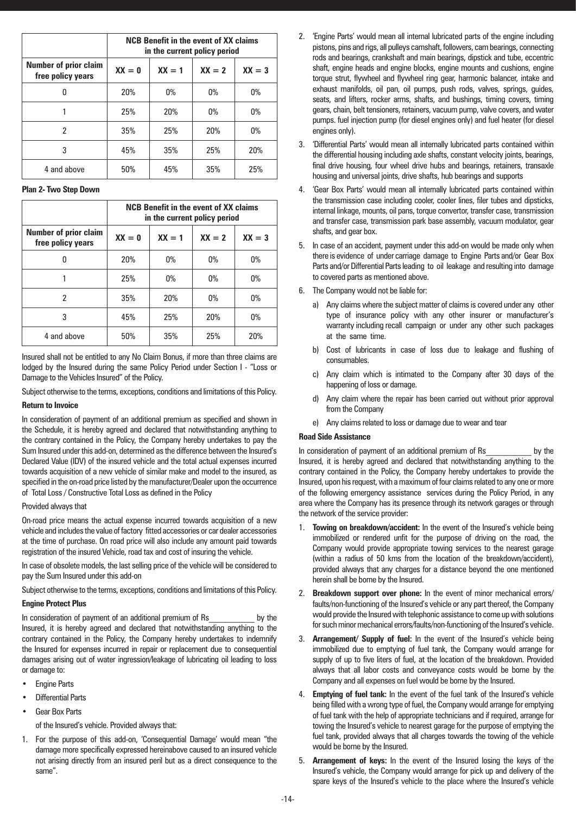|                                                   | <b>NCB Benefit in the event of XX claims</b><br>in the current policy period |       |       |       |  |
|---------------------------------------------------|------------------------------------------------------------------------------|-------|-------|-------|--|
| <b>Number of prior claim</b><br>free policy years | $XX = 3$<br>$XX = 1$<br>$XX = 2$<br>$XX = 0$                                 |       |       |       |  |
| N                                                 | 20%                                                                          | $0\%$ | $0\%$ | $0\%$ |  |
|                                                   | 25%                                                                          | 20%   | $0\%$ | $0\%$ |  |
| 2                                                 | 35%                                                                          | 25%   | 20%   | $0\%$ |  |
| 3                                                 | 45%                                                                          | 35%   | 25%   | 20%   |  |
| 4 and above                                       | 50%                                                                          | 45%   | 35%   | 25%   |  |

**Plan 2- Two Step Down**

|                                                   | <b>NCB Benefit in the event of XX claims</b><br>in the current policy period |       |       |     |  |
|---------------------------------------------------|------------------------------------------------------------------------------|-------|-------|-----|--|
| <b>Number of prior claim</b><br>free policy years | $XX = 3$<br>$XX = 1$<br>$XX = 2$<br>$XX = 0$                                 |       |       |     |  |
| N                                                 | 20%                                                                          | $0\%$ | $0\%$ | 0%  |  |
|                                                   | 25%                                                                          | $0\%$ | $0\%$ | 0%  |  |
| 2                                                 | 35%                                                                          | 20%   | $0\%$ | 0%  |  |
| 3                                                 | 45%                                                                          | 25%   | 20%   | 0%  |  |
| 4 and above                                       | 50%                                                                          | 35%   | 25%   | 20% |  |

Insured shall not be entitled to any No Claim Bonus, if more than three claims are lodged by the Insured during the same Policy Period under Section I - "Loss or Damage to the Vehicles Insured" of the Policy.

Subject otherwise to the terms, exceptions, conditions and limitations of this Policy.

#### **Return to Invoice**

In consideration of payment of an additional premium as specified and shown in the Schedule, it is hereby agreed and declared that notwithstanding anything to the contrary contained in the Policy, the Company hereby undertakes to pay the Sum Insured under this add-on, determined as the difference between the Insured's Declared Value (IDV) of the insured vehicle and the total actual expenses incurred towards acquisition of a new vehicle of similar make and model to the insured, as specified in the on-road price listed by the manufacturer/Dealer upon the occurrence of Total Loss / Constructive Total Loss as defined in the Policy

# Provided always that

On-road price means the actual expense incurred towards acquisition of a new vehicle and includes the value of factory fitted accessories or car dealer accessories at the time of purchase. On road price will also include any amount paid towards registration of the insured Vehicle, road tax and cost of insuring the vehicle.

In case of obsolete models, the last selling price of the vehicle will be considered to pay the Sum Insured under this add-on

Subject otherwise to the terms, exceptions, conditions and limitations of this Policy.

# **Engine Protect Plus**

In consideration of payment of an additional premium of Rs by the Insured, it is hereby agreed and declared that notwithstanding anything to the contrary contained in the Policy, the Company hereby undertakes to indemnify the Insured for expenses incurred in repair or replacement due to consequential damages arising out of water ingression/leakage of lubricating oil leading to loss or damage to:

- **Engine Parts**
- **Differential Parts**
- **Gear Box Parts**

of the Insured's vehicle. Provided always that:

1. For the purpose of this add-on, 'Consequential Damage' would mean "the damage more specifically expressed hereinabove caused to an insured vehicle not arising directly from an insured peril but as a direct consequence to the same".

- 2. 'Engine Parts' would mean all internal lubricated parts of the engine including pistons, pins and rigs, all pulleys camshaft, followers, cam bearings, connecting rods and bearings, crankshaft and main bearings, dipstick and tube, eccentric shaft, engine heads and engine blocks, engine mounts and cushions, engine torque strut, flywheel and flywheel ring gear, harmonic balancer, intake and exhaust manifolds, oil pan, oil pumps, push rods, valves, springs, guides, seats, and lifters, rocker arms, shafts, and bushings, timing covers, timing gears, chain, belt tensioners, retainers, vacuum pump, valve covers, and water pumps. fuel injection pump (for diesel engines only) and fuel heater (for diesel engines only).
- 3. 'Differential Parts' would mean all internally lubricated parts contained within the differential housing including axle shafts, constant velocity joints, bearings, final drive housing, four wheel drive hubs and bearings, retainers, transaxle housing and universal joints, drive shafts, hub bearings and supports
- 4. 'Gear Box Parts' would mean all internally lubricated parts contained within the transmission case including cooler, cooler lines, filer tubes and dipsticks, internal linkage, mounts, oil pans, torque convertor, transfer case, transmission and transfer case, transmission park base assembly, vacuum modulator, gear shafts, and gear box.
- 5. In case of an accident, payment under this add-on would be made only when there is evidence of under carriage damage to Engine Parts and/or Gear Box Parts and/or Differential Parts leading to oil leakage and resulting into damage to covered parts as mentioned above.
- 6. The Company would not be liable for:
	- a) Any claims where the subject matter of claims is covered under any other type of insurance policy with any other insurer or manufacturer's warranty including recall campaign or under any other such packages at the same time.
	- b) Cost of lubricants in case of loss due to leakage and flushing of consumables.
	- c) Any claim which is intimated to the Company after 30 days of the happening of loss or damage.
	- d) Any claim where the repair has been carried out without prior approval from the Company
	- e) Any claims related to loss or damage due to wear and tear

# **Road Side Assistance**

In consideration of payment of an additional premium of Rs by the Insured, it is hereby agreed and declared that notwithstanding anything to the contrary contained in the Policy, the Company hereby undertakes to provide the Insured, upon his request, with a maximum of four claims related to any one or more of the following emergency assistance services during the Policy Period, in any area where the Company has its presence through its network garages or through the network of the service provider:

- 1. **Towing on breakdown/accident:** In the event of the Insured's vehicle being immobilized or rendered unfit for the purpose of driving on the road, the Company would provide appropriate towing services to the nearest garage (within a radius of 50 kms from the location of the breakdown/accident), provided always that any charges for a distance beyond the one mentioned herein shall be borne by the Insured.
- 2. **Breakdown support over phone:** In the event of minor mechanical errors/ faults/non-functioning of the Insured's vehicle or any part thereof, the Company would provide the Insured with telephonic assistance to come up with solutions for such minor mechanical errors/faults/non-functioning of the Insured's vehicle.
- 3. **Arrangement/ Supply of fuel:** In the event of the Insured's vehicle being immobilized due to emptying of fuel tank, the Company would arrange for supply of up to five liters of fuel, at the location of the breakdown. Provided always that all labor costs and conveyance costs would be borne by the Company and all expenses on fuel would be borne by the Insured.
- 4. **Emptying of fuel tank:** In the event of the fuel tank of the Insured's vehicle being filled with a wrong type of fuel, the Company would arrange for emptying of fuel tank with the help of appropriate technicians and if required, arrange for towing the Insured's vehicle to nearest garage for the purpose of emptying the fuel tank, provided always that all charges towards the towing of the vehicle would be borne by the Insured.
- 5. **Arrangement of keys:** In the event of the Insured losing the keys of the Insured's vehicle, the Company would arrange for pick up and delivery of the spare keys of the Insured's vehicle to the place where the Insured's vehicle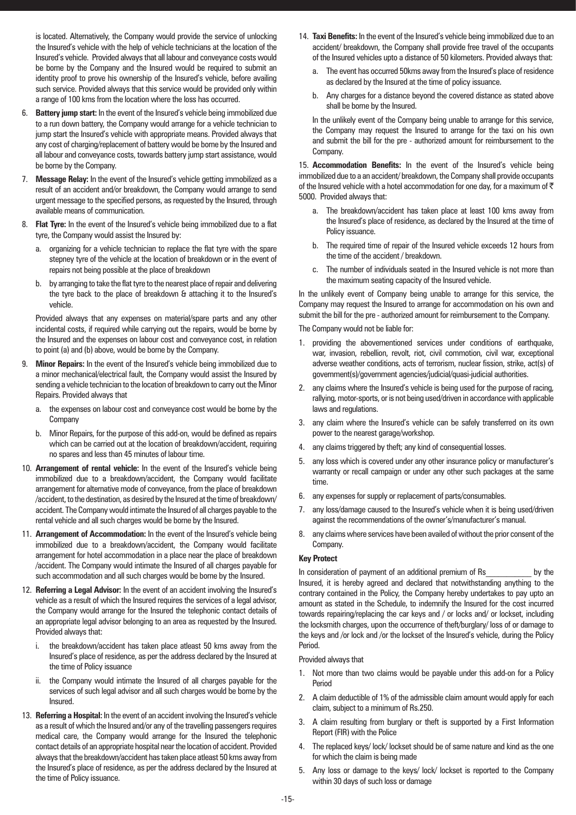is located. Alternatively, the Company would provide the service of unlocking the Insured's vehicle with the help of vehicle technicians at the location of the Insured's vehicle. Provided always that all labour and conveyance costs would be borne by the Company and the Insured would be required to submit an identity proof to prove his ownership of the Insured's vehicle, before availing such service. Provided always that this service would be provided only within a range of 100 kms from the location where the loss has occurred.

- 6. **Battery jump start:** In the event of the Insured's vehicle being immobilized due to a run down battery, the Company would arrange for a vehicle technician to jump start the Insured's vehicle with appropriate means. Provided always that any cost of charging/replacement of battery would be borne by the Insured and all labour and conveyance costs, towards battery jump start assistance, would be borne by the Company.
- 7. **Message Relay:** In the event of the Insured's vehicle getting immobilized as a result of an accident and/or breakdown, the Company would arrange to send urgent message to the specified persons, as requested by the Insured, through available means of communication.
- 8. **Flat Tyre:** In the event of the Insured's vehicle being immobilized due to a flat tyre, the Company would assist the Insured by:
	- a. organizing for a vehicle technician to replace the flat tyre with the spare stepney tyre of the vehicle at the location of breakdown or in the event of repairs not being possible at the place of breakdown
	- b. by arranging to take the flat tyre to the nearest place of repair and delivering the tyre back to the place of breakdown & attaching it to the Insured's vehicle.

Provided always that any expenses on material/spare parts and any other incidental costs, if required while carrying out the repairs, would be borne by the Insured and the expenses on labour cost and conveyance cost, in relation to point (a) and (b) above, would be borne by the Company.

- **Minor Repairs:** In the event of the Insured's vehicle being immobilized due to a minor mechanical/electrical fault, the Company would assist the Insured by sending a vehicle technician to the location of breakdown to carry out the Minor Repairs. Provided always that
	- a. the expenses on labour cost and conveyance cost would be borne by the Company
	- b. Minor Repairs, for the purpose of this add-on, would be defined as repairs which can be carried out at the location of breakdown/accident, requiring no spares and less than 45 minutes of labour time.
- 10. **Arrangement of rental vehicle:** In the event of the Insured's vehicle being immobilized due to a breakdown/accident, the Company would facilitate arrangement for alternative mode of conveyance, from the place of breakdown /accident, to the destination, as desired by the Insured at the time of breakdown/ accident. The Company would intimate the Insured of all charges payable to the rental vehicle and all such charges would be borne by the Insured.
- 11. **Arrangement of Accommodation:** In the event of the Insured's vehicle being immobilized due to a breakdown/accident, the Company would facilitate arrangement for hotel accommodation in a place near the place of breakdown /accident. The Company would intimate the Insured of all charges payable for such accommodation and all such charges would be borne by the Insured.
- 12. **Referring a Legal Advisor:** In the event of an accident involving the Insured's vehicle as a result of which the Insured requires the services of a legal advisor, the Company would arrange for the Insured the telephonic contact details of an appropriate legal advisor belonging to an area as requested by the Insured. Provided always that:
	- the breakdown/accident has taken place atleast 50 kms away from the Insured's place of residence, as per the address declared by the Insured at the time of Policy issuance
	- ii. the Company would intimate the Insured of all charges payable for the services of such legal advisor and all such charges would be borne by the Insured.
- 13. **Referring a Hospital:** In the event of an accident involving the Insured's vehicle as a result of which the Insured and/or any of the travelling passengers requires medical care, the Company would arrange for the Insured the telephonic contact details of an appropriate hospital near the location of accident. Provided always that the breakdown/accident has taken place atleast 50 kms away from the Insured's place of residence, as per the address declared by the Insured at the time of Policy issuance.
- 14. **Taxi Benefits:** In the event of the Insured's vehicle being immobilized due to an accident/ breakdown, the Company shall provide free travel of the occupants of the Insured vehicles upto a distance of 50 kilometers. Provided always that:
	- a. The event has occurred 50kms away from the Insured's place of residence as declared by the Insured at the time of policy issuance.
	- b. Any charges for a distance beyond the covered distance as stated above shall be borne by the Insured.

In the unlikely event of the Company being unable to arrange for this service, the Company may request the Insured to arrange for the taxi on his own and submit the bill for the pre - authorized amount for reimbursement to the Company.

15. **Accommodation Benefits:** In the event of the Insured's vehicle being immobilized due to a an accident/ breakdown, the Company shall provide occupants of the Insured vehicle with a hotel accommodation for one day, for a maximum of  $\bar{\tau}$ 5000. Provided always that:

- a. The breakdown/accident has taken place at least 100 kms away from the Insured's place of residence, as declared by the Insured at the time of Policy issuance.
- b. The required time of repair of the Insured vehicle exceeds 12 hours from the time of the accident / breakdown.
- c. The number of individuals seated in the Insured vehicle is not more than the maximum seating capacity of the Insured vehicle.

In the unlikely event of Company being unable to arrange for this service, the Company may request the Insured to arrange for accommodation on his own and submit the bill for the pre - authorized amount for reimbursement to the Company.

The Company would not be liable for:

- 1. providing the abovementioned services under conditions of earthquake, war, invasion, rebellion, revolt, riot, civil commotion, civil war, exceptional adverse weather conditions, acts of terrorism, nuclear fission, strike, act(s) of government(s)/government agencies/judicial/quasi-judicial authorities.
- 2. any claims where the Insured's vehicle is being used for the purpose of racing, rallying, motor-sports, or is not being used/driven in accordance with applicable laws and regulations.
- 3. any claim where the Insured's vehicle can be safely transferred on its own power to the nearest garage/workshop.
- 4. any claims triggered by theft; any kind of consequential losses.
- 5. any loss which is covered under any other insurance policy or manufacturer's warranty or recall campaign or under any other such packages at the same time.
- 6. any expenses for supply or replacement of parts/consumables.
- 7. any loss/damage caused to the Insured's vehicle when it is being used/driven against the recommendations of the owner's/manufacturer's manual.
- 8. any claims where services have been availed of without the prior consent of the Company.

# **Key Protect**

In consideration of payment of an additional premium of Rs by the Insured, it is hereby agreed and declared that notwithstanding anything to the contrary contained in the Policy, the Company hereby undertakes to pay upto an amount as stated in the Schedule, to indemnify the Insured for the cost incurred towards repairing/replacing the car keys and / or locks and/ or lockset, including the locksmith charges, upon the occurrence of theft/burglary/ loss of or damage to the keys and /or lock and /or the lockset of the Insured's vehicle, during the Policy Period.

Provided always that

- 1. Not more than two claims would be payable under this add-on for a Policy Period
- 2. A claim deductible of 1% of the admissible claim amount would apply for each claim, subject to a minimum of Rs.250.
- 3. A claim resulting from burglary or theft is supported by a First Information Report (FIR) with the Police
- 4. The replaced keys/lock/lockset should be of same nature and kind as the one for which the claim is being made
- 5. Any loss or damage to the keys/ lock/ lockset is reported to the Company within 30 days of such loss or damage